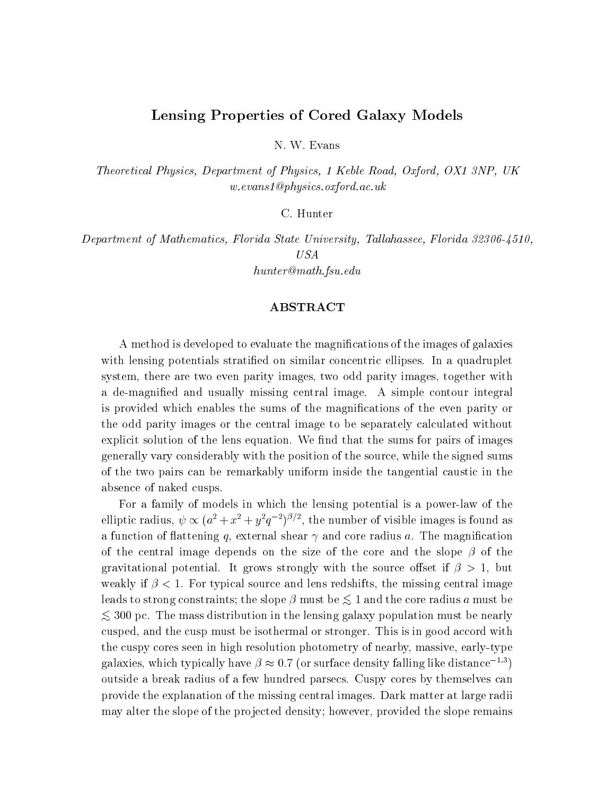# Lensing Properties of Cored Galaxy Models

N. W. Evans

Theoretical Physics, Department of Physics, 1 Keble Road, Oxford, OX1 3NP, UK w.evans1@physics.oxford.ac.uk

C. Hunter

Department of Mathematics, Florida State University, Tallahassee, Florida 32306-4510,

hunter@math.fsu.edu

# ${\rm ABSTRACT}$

A method is developed to evaluate the magnications of the images of galaxies with lensing potentials stratified on similar concentric ellipses. In a quadruplet system, there are two even parity images, two odd parity images, together with a de-magnied and usually missing central image. A simple contour integral is provided which enables the sums of the magnications of the even parity or the odd parity images or the central image to be separately calculated without explicit solution of the lens equation. We find that the sums for pairs of images generally vary considerably with the position of the source, while the signed sums of the two pairs can be remarkably uniform insidethe tangential caustic in the absence of naked cusps.

For a family of models in which the lensing potential is a power-law of the elliptic radius,  $\psi \propto (a^2 + x^2 + y^2q^{-2})^{p/2}$ , the number of visible images is found as a function of flattening q, external shear  $\gamma$  and core radius a. The magnification of the central image depends on the size of the core and the slope  $\beta$  of the gravitational potential. It grows strongly with the source offset if  $\beta > 1$ , but weakly if  $\beta$  < 1. For typical source and lens redshifts, the missing central image leads to strong constraints; the slope  $\beta$  must be  $\lesssim 1$  and the core radius a must be  $\lesssim$  300 pc. The mass distribution in the lensing galaxy population must be nearly cusped, and the cusp must be isothermal or stronger. This is in good accord with the cuspy cores seen in high resolution photometry of nearby, massive, early-type galaxies, which typically have  $\beta \approx 0.7$  (or surface density falling like distance<sup>-1.3</sup>) outside a break radius of a few hundred parsecs. Cuspy cores by themselves can provide the explanation of the missing central images. Dark matter at large radii may alter the slope of the projected density; however, provided the slope remains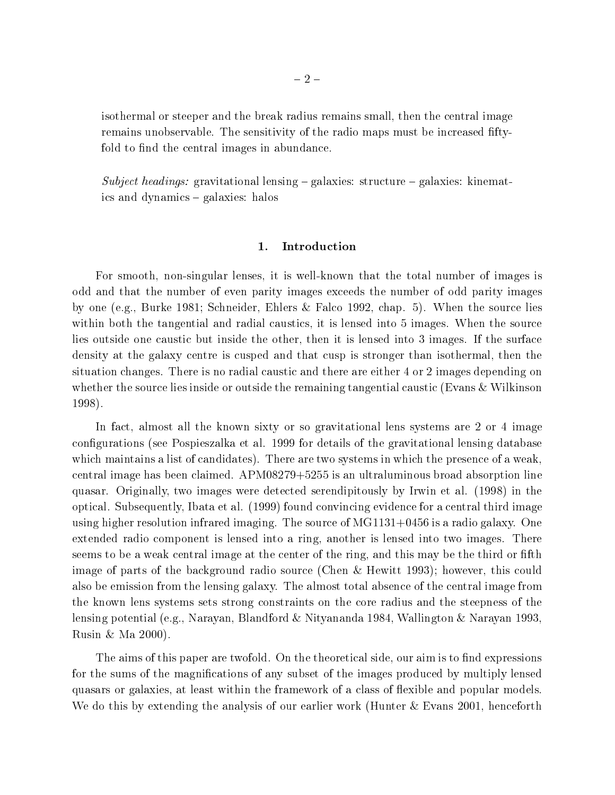isothermal or steeper and the break radius remains small, then the central image remains unobservable. The sensitivity of the radio maps must be increased ftyfold to find the central images in abundance.

Subject headings: gravitational lensing  ${\bf -}$  galaxies: structure  ${\bf -}$  galaxies: kinematics and dynamics – galaxies: halos

## 1. Introduction

For smooth, non-singular lenses, it is well-known that the total number of images is odd and that the number of even parity images exceeds the number of odd parity images by one (e.g., Burke 1981; Schneider, Ehlers & Falco 1992, chap. 5). When the source lies within both the tangential and radial caustics, it is lensed into 5 images. When the source lies outside one caustic but inside the other, then it is lensed into 3 images. If the surface density at the galaxy centre is cusped and that cusp is stronger than isothermal, then the situation changes. There is no radial caustic and there are either 4 or 2 images depending on whether the source lies inside or outside the remaining tangential caustic (Evans & Wilkinson 1998).

In fact, almost all the known sixty or so gravitational lens systems are 2 or 4 image congurations (see Pospieszalka et al. 1999 for details of the gravitational lensing database which maintains a list of candidates). There are two systems in which the presence of a weak, central image has been claimed. APM08279+5255 is an ultraluminous broad absorption line quasar. Originally, two images were detected serendipitously by Irwin etal. (1998) in the optical. Subsequently, Ibata et al. (1999) found convincing evidence for a central third image using higher resolution infrared imaging. The source of MG1131+0456 is a radio galaxy. One extended radio component is lensed into a ring, another is lensed into two images. There seems to be a weak central image at the center of the ring, and this may be the third or fifth image of parts of the background radio source (Chen & Hewitt 1993); however, this could also be emission from the lensing galaxy. The almost total absence of the central image from the known lens systems sets strong constraints on the core radius and the steepness of the lensing potential (e.g., Narayan, Blandford & Nityananda 1984, Wallington & Narayan 1993, Rusin & Ma 2000).

The aims of this paper are twofold. On the theoretical side, our aim is to find expressions for the sums of the magnications of any subset of the images produced by multiply lensed quasars or galaxies, at least within the framework of a class of flexible and popular models. We do this by extending the analysis of our earlier work (Hunter & Evans 2001, henceforth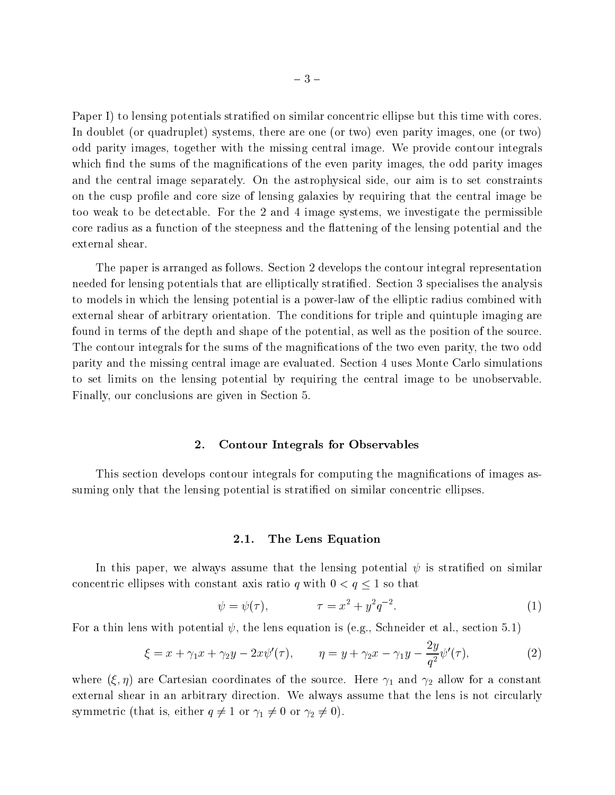Paper I) to lensing potentials stratified on similar concentric ellipse but this time with cores. In doublet (or quadruplet) systems, there are one (or two) even parity images, one (or two) odd parity images, together with the missing central image. We provide contour integrals which find the sums of the magnifications of the even parity images, the odd parity images and the central image separately. On the astrophysical side, our aim is to set constraints on the cusp prole and core size of lensing galaxies by requiring that the central image be too weak to be detectable. For the 2 and 4 image systems, we investigate the permissible core radius as a function of the steepness and the flattening of the lensing potential and the external shear.

The paper is arranged as follows. Section 2 develops the contour integral representation needed for lensing potentials that are elliptically stratified. Section 3 specialises the analysis to models in which the lensing potential is a power-law of the elliptic radius combined with external shear of arbitrary orientation. The conditions for triple and quintuple imaging are found in terms of the depth and shape of the potential, as well as the position of the source. The contour integrals for the sums of the magnications of the two even parity, the two odd parity and the missing central image are evaluated. Section 4 uses Monte Carlo simulations to set limits on the lensing potential by requiring the central image to be unobservable. Finally, our conclusions are given in Section 5.

### 2. Contour Integrals for Observables

This section develops contour integrals for computing the magnications of images assuming only that the lensing potential is stratified on similar concentric ellipses.

#### 2.1. The Lens Equation

In this paper, we always assume that the lensing potential  $\psi$  is stratified on similar concentric ellipses with constant axis ratio q with  $0 < q \leq 1$  so that

$$
\psi = \psi(\tau), \qquad \tau = x^2 + y^2 q^{-2}.
$$
 (1)

For a thin lens with potential  $\psi$ , the lens equation is (e.g., Schneider et al., section 5.1)

$$
\xi = x + \gamma_1 x + \gamma_2 y - 2x \psi'(\tau), \qquad \eta = y + \gamma_2 x - \gamma_1 y - \frac{2y}{q^2} \psi'(\tau), \tag{2}
$$

where (S)  $\mu$  are Cartesian coordinates of the source. Here so the source  $\mu$  and  $\mu$  and  $\mu$  are constants external shear in an arbitrary direction. We always assume that the lens is not circularly symmetric (that is, either  $\begin{array}{ccc} 1 & 1 & 1 \end{array}$  or  $\begin{array}{ccc} 1 & 1 & 1 \end{array}$  . The correction of  $\begin{array}{ccc} 1 & 1 & 1 \end{array}$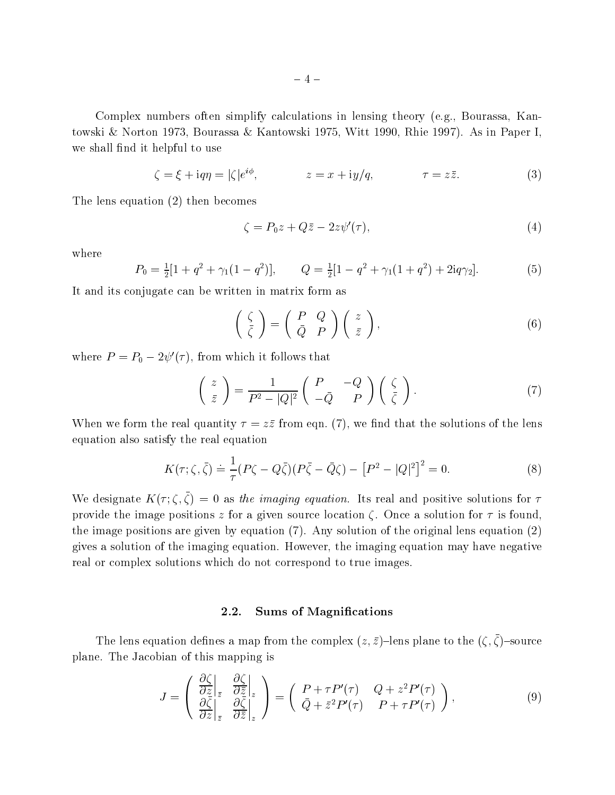Complex numbers often simplify calculations in lensing theory (e.g., Bourassa, Kantowski & Norton 1973, Bourassa & Kantowski 1975, Witt 1990, Rhie 1997). As in Paper I, we shall find it helpful to use

$$
\zeta = \xi + i q \eta = |\zeta| e^{i\phi}, \qquad z = x + i y/q, \qquad \tau = z \bar{z}.
$$
 (3)

The lens equation (2) then becomes

$$
\zeta = P_0 z + Q\bar{z} - 2z\psi'(\tau),\tag{4}
$$

where

$$
P_0 = \frac{1}{2}[1 + q^2 + \gamma_1(1 - q^2)], \qquad Q = \frac{1}{2}[1 - q^2 + \gamma_1(1 + q^2) + 2iq\gamma_2].
$$
 (5)

It and its conjugate can be written in matrix form as

$$
\left(\begin{array}{c} \zeta \\ \bar{\zeta} \end{array}\right) = \left(\begin{array}{cc} P & Q \\ \bar{Q} & P \end{array}\right) \left(\begin{array}{c} z \\ \bar{z} \end{array}\right),\tag{6}
$$

where  $P = P_0 - 2\psi'(\tau)$ , from which it follows that

$$
\begin{pmatrix} z \\ \bar{z} \end{pmatrix} = \frac{1}{P^2 - |Q|^2} \begin{pmatrix} P & -Q \\ -\bar{Q} & P \end{pmatrix} \begin{pmatrix} \zeta \\ \bar{\zeta} \end{pmatrix}.
$$
 (7)

When we form the real quantity  $\tau = z\overline{z}$  from eqn. (7), we find that the solutions of the lens equation also satisfy the real equation

$$
K(\tau;\zeta,\bar{\zeta}) \doteq \frac{1}{\tau}(P\zeta - Q\bar{\zeta})(P\bar{\zeta} - \bar{Q}\zeta) - [P^2 - |Q|^2]^2 = 0.
$$
 (8)

We designate  $K(t, \zeta, \zeta) = 0$  as the imaging equation. This real and positive solutions for  $t$ provide the image positions z for a given source location  $\zeta$ . Once a solution for  $\tau$  is found, the image positions are given by equation (7). Any solution of the original lens equation (2) gives a solution of the imaging equation. However, the imaging equation may have negative real or complex solutions which do not correspond to true images.

## 2.2. Sums of Magnications

The lefts equation defines a map from the complex  $(z, z)$  fens plane to the  $(\zeta, \zeta)$  source plane. The Jacobian of this mapping is

$$
J = \begin{pmatrix} \frac{\partial \zeta}{\partial z} \Big|_{z} & \frac{\partial \zeta}{\partial \bar{z}} \Big|_{z} \\ \frac{\partial \bar{\zeta}}{\partial z} \Big|_{z} & \frac{\partial \bar{\zeta}}{\partial \bar{z}} \Big|_{z} \end{pmatrix} = \begin{pmatrix} P + \tau P'(\tau) & Q + z^2 P'(\tau) \\ \bar{Q} + \bar{z}^2 P'(\tau) & P + \tau P'(\tau) \end{pmatrix}, \tag{9}
$$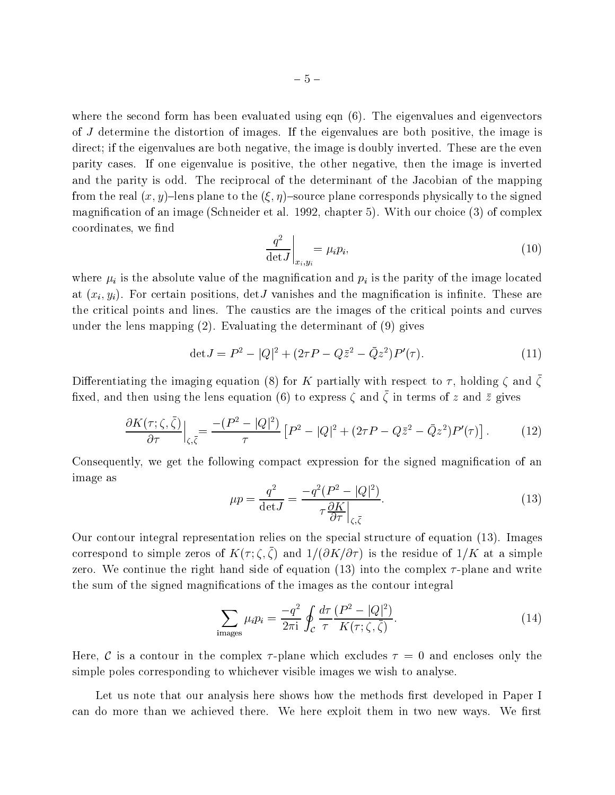where the second form has been evaluated using eqn  $(6)$ . The eigenvalues and eigenvectors of J determine the distortion of images. If the eigenvalues are both positive, the image is direct; if the eigenvalues are both negative, the image is doubly inverted. These are the even parity cases. If one eigenvalue is positive, the other negative, then the image is inverted and the parity is odd. The reciprocal of the determinant of the Jacobian of the mapping from the real  $(x, y)$ -lens plane to the  $(\xi, \eta)$ -source plane corresponds physically to the signed magnication of an image (Schneider et al. 1992, chapter 5). With our choice (3) of complex coordinates, we find

$$
\left. \frac{q^2}{\det J} \right|_{x_i, y_i} = \mu_i p_i,\tag{10}
$$

where  $\mu_i$  is the absolute value of the magnification and  $p_i$  is the parity of the image located at  $(x_i, y_i)$ . For certain positions, det *J* vanishes and the magnification is infinite. These are the critical points and lines. The caustics are the images of the critical points and curves under the lens mapping (2). Evaluating the determinant of (9) gives

$$
\det J = P^2 - |Q|^2 + (2\tau P - Q\bar{z}^2 - \bar{Q}z^2)P'(\tau). \tag{11}
$$

Differentiating the imaging equation (8) for K partially with respect to  $\ell$ , holding  $\zeta$  and  $\zeta$  $max$  and then using the lens equation (6) to express  $\zeta$  and  $\zeta$  in terms of z and z gives

$$
\frac{\partial K(\tau;\zeta,\bar{\zeta})}{\partial \tau}\Big|_{\zeta,\bar{\zeta}} = \frac{-(P^2-|Q|^2)}{\tau} \left[P^2-|Q|^2+(2\tau P-Q\bar{z}^2-\bar{Q}z^2)P'(\tau)\right].\tag{12}
$$

Consequently, we get the following compact expression for the signed magnification of an image as

$$
\mu p = \frac{q^2}{\det J} = \frac{-q^2 (P^2 - |Q|^2)}{\tau \frac{\partial K}{\partial \tau}\Big|_{\zeta, \bar{\zeta}}}.
$$
\n(13)

Our contour integral representation relies on the special structure of equation (13). Images correspond to simple zeros of  $K(t, \zeta, \zeta)$  and  $1/(0K(0))$  is the residue of  $1/K$  at a simple zero. We continue the right hand side of equation (13) into the complex  $\tau$ -plane and write the sum of the signed magnications of the images as the contour integral

$$
\sum_{\text{images}} \mu_i p_i = \frac{-q^2}{2\pi i} \oint_C \frac{d\tau}{\tau} \frac{(P^2 - |Q|^2)}{K(\tau; \zeta, \bar{\zeta})}.
$$
(14)

Here, C is a contour in the complex  $\tau$ -plane which excludes  $\tau = 0$  and encloses only the simple poles corresponding to whichever visible images we wish to analyse.

Let us note that our analysis here shows how the methods first developed in Paper I can do more than we achieved there. We here exploit them in two new ways. We first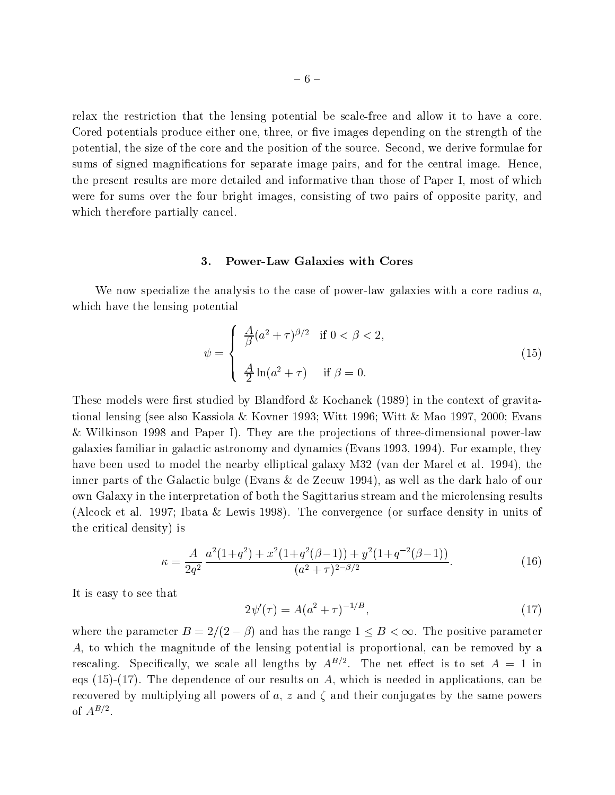relax the restriction that the lensing potential be scale-free and allow it to have a core. Cored potentials produce either one, three, or five images depending on the strength of the potential, the size of the core and the position of the source. Second, we derive formulae for sums of signed magnifications for separate image pairs, and for the central image. Hence, the present results are more detailed and informative than those of Paper I, most of which were for sums over the four bright images, consisting of two pairs of opposite parity, and which therefore partially cancel.

### 3. Power-Law Galaxies with Cores

We now specialize the analysis to the case of power-law galaxies with a core radius  $a$ , which have the lensing potential

$$
\psi = \begin{cases} \frac{A}{\beta} (a^2 + \tau)^{\beta/2} & \text{if } 0 < \beta < 2, \\ \frac{A}{2} \ln(a^2 + \tau) & \text{if } \beta = 0. \end{cases}
$$
(15)

These models were first studied by Blandford & Kochanek  $(1989)$  in the context of gravitational lensing (see also Kassiola & Kovner 1993; Witt 1996; Witt & Mao 1997, 2000; Evans & Wilkinson 1998 and Paper I). They are the projections of three-dimensional power-law galaxies familiar in galactic astronomy and dynamics (Evans 1993, 1994). For example, they have been used to model the nearby elliptical galaxy M32 (van der Marel et al. 1994), the inner parts of the Galactic bulge (Evans & de Zeeuw 1994), as well as the dark halo of our own Galaxy in the interpretation of both the Sagittarius stream and the microlensing results (Alcock et al. 1997; Ibata & Lewis 1998). The convergence (or surface density in units of the critical density) is

$$
\kappa = \frac{A}{2q^2} \frac{a^2(1+q^2) + x^2(1+q^2(\beta-1)) + y^2(1+q^{-2}(\beta-1))}{(a^2+\tau)^{2-\beta/2}}.
$$
 (16)

It is easy to see that

$$
2\psi'(\tau) = A(a^2 + \tau)^{-1/B},\tag{17}
$$

where the parameter  $B = 2/(2 - \beta)$  and has the range  $1 \leq B < \infty$ . The positive parameter A, to which the magnitude of the lensing potential is proportional, can be removed by a rescaling. Specifically, we scale all lengths by  $A^{++}$ . The net effect is to set  $A = 1$  in eqs (15)-(17). The dependence of our results on A, which is needed in applications, can be recovered by multiplying all powers of  $a, z$  and  $\zeta$  and their conjugates by the same powers of  $A^{-\prime}$ .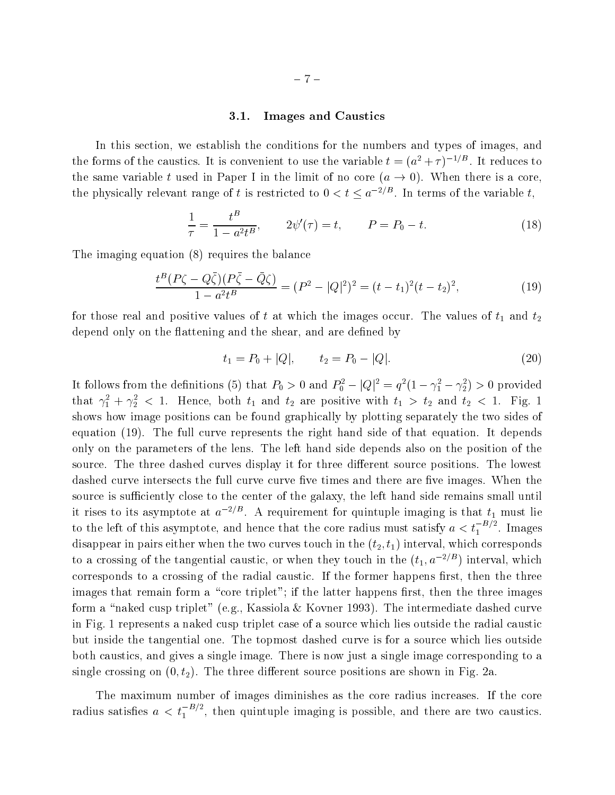## 3.1. Images and Caustics

In this section, we establish the conditions for the numbers and types of images, and the forms of the caustics. It is convenient to use the variable  $t = (a^2 + \tau)^{-1/D}$ . It reduces to the same variable t used in Paper I in the limit of no core  $(a \rightarrow 0)$ . When there is a core, the physically relevant range of t is restricted to  $0 < t \leq a^{-2/D}$ . In terms of the variable t,

$$
\frac{1}{\tau} = \frac{t^B}{1 - a^2 t^B}, \qquad 2\psi'(\tau) = t, \qquad P = P_0 - t.
$$
 (18)

The imaging equation (8) requires the balance

$$
\frac{t^B (P\zeta - Q\bar{\zeta})(P\bar{\zeta} - \bar{Q}\zeta)}{1 - a^2 t^B} = (P^2 - |Q|^2)^2 = (t - t_1)^2 (t - t_2)^2,
$$
\n(19)

for the interest real and positive values of the images of the images of the images of the images of the images of the images of the images of the images of the images of the images of the images of the images of the imag depend only on the flattening and the shear, and are defined by

$$
t_1 = P_0 + |Q|, \qquad t_2 = P_0 - |Q|.
$$
 (20)

It follows from the definitions (5) that  $P_0 > 0$  and  $P_0^- - |Q|^2 = q^2 (1 - \gamma_1^2 - \gamma_2^2) > 0$  provided that  $\gamma_1^2 + \gamma_2^2$   $\lt$  1. Hence, both  $t_1$  and  $t_2$  are positive with  $t_1 > t_2$  and  $t_2 < 1$ . Fig. 1 shows how image positions can be found graphically by plotting separately the two sides of equation (19). The full curve represents the right hand side of that equation. It depends only on the parameters of the lens. The left hand side depends also on the position of the source. The three dashed curves display it for three different source positions. The lowest dashed curve intersects the full curve curve five times and there are five images. When the source is sufficiently close to the center of the galaxy, the left hand side remains small until it rises to its asymptote at  $a^{-2/D}$ . A requirement for quintuple imaging is that  $t_1$  must lie to the left of this asymptote, and hence that the core radius must satisfy  $a < t_1^{-D/2}$ . Images disappear in pairs either when the two curves touch in the  $(t_2, t_1)$  interval, which corresponds to a crossing of the tangential caustic, or when they touch in the  $(t_1, a^{-2/B})$  interval, which corresponds to a crossing of the radial caustic. If the former happens first, then the three images that remain form a "core triplet"; if the latter happens first, then the three images form a "naked cusp triplet" (e.g., Kassiola & Kovner 1993). The intermediate dashed curve in Fig. 1 represents a naked cusp triplet case of a source which lies outside the radial caustic but inside the tangential one. The topmost dashed curve is for a source which lies outside both caustics, and gives a single image. There is now just a single image corresponding to a single crossing on  $(0, t_2)$ . The three different source positions are shown in Fig. 2a.

The maximum number of images diminishes as the core radius increases. If the core radius satisfies  $a < t_1^{-D/2}$ , then quintuple imaging is possible, and there are two caustics.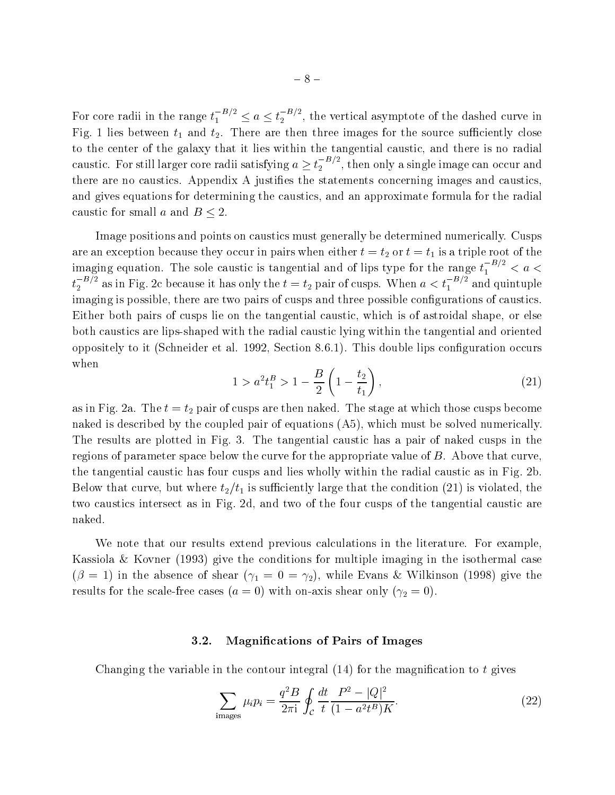For core radii in the range  $t_1^{-D/2} \le a \le t_2^{-D/2}$ , the vertical asymptote of the dashed curve in Fig. 1 lies between the source such three images for the source such three images for the source such three in to the center of the galaxy that it lies within the tangential caustic, and there is no radial caustic. For still larger core radii satisfying  $a \geq t_2^{-B/2}$ , then only a single image can occur and there are no caustics. Appendix A justifies the statements concerning images and caustics, and gives equations for determining the caustics, and an approximate formula for the radial caustic for small a and  $B \leq 2$ .

Image positions and points on caustics must generally be determined numerically. Cusps are an exception because they occur in pairs when either they occur in pairs when either they are the triple root of the triple root of the triple root of the triple root of the triple root of the triple root of the tripl imaging equation. The sole caustic is tangential and of lips type for the range  $t_1^{-D/2} < a <$  $t_2^{-D/2}$  as in Fig. 2c because it has only the  $t=t_2$  pair of cusps. When  $a < t_1^{-D/2}$  and quintuple imaging is possible, there are two pairs of cusps and three possible configurations of caustics. Either both pairs of cusps lie on the tangential caustic, which is of astroidal shape, or else both caustics are lips-shaped with the radial caustic lying within the tangential and oriented oppositely to it (Schneider et al. 1992, Section 8.6.1). This double lips conguration occurs when

$$
1 > a^2 t_1^B > 1 - \frac{B}{2} \left( 1 - \frac{t_2}{t_1} \right),\tag{21}
$$

as in Fig. 2a. The tage at which the stage at which the stage at which the stage at which the stage at which those cusps become at which the stage at which the stage at which the stage at which the stage at which the stag naked is described by the coupled pair of equations (A5), which must be solved numerically. The results are plotted in Fig. 3. The tangential caustic has a pair of naked cusps in the regions of parameter space below the curve for the appropriate value of B. Above that curve, the tangential caustic has four cusps and lies wholly within the radial caustic as in Fig. 2b.  $B = \frac{1}{2}$  is such that the condition (21) is violated, the condition (21) is violated, the condition (21) is violated, the condition (21) is violated, the condition (21) is violated, the condition (21) is violated, the two caustics intersect as in Fig. 2d, and two of the four cusps of the tangential caustic are naked.

We note that our results extend previous calculations in the literature. For example, Kassiola & Kovner (1993) give the conditions for multiple imaging in the isothermal case  $\frac{1}{2}$  in the absence of the absence of shear (1998) give the abson (1998) give the abson (1998) give the abson (1998) give the stress of the stress of the stress of the stress of the stress of the stress of the stress results for the scale-free cases (a = 0) with on-axis shear only (
2 = 0).

## 3.2. Magnications of Pairs of Images

Changing the variable in the contour integral  $(14)$  for the magnification to t gives

$$
\sum_{\text{images}} \mu_i p_i = \frac{q^2 B}{2\pi i} \oint_C \frac{dt}{t} \frac{P^2 - |Q|^2}{(1 - a^2 t^B) K}.
$$
 (22)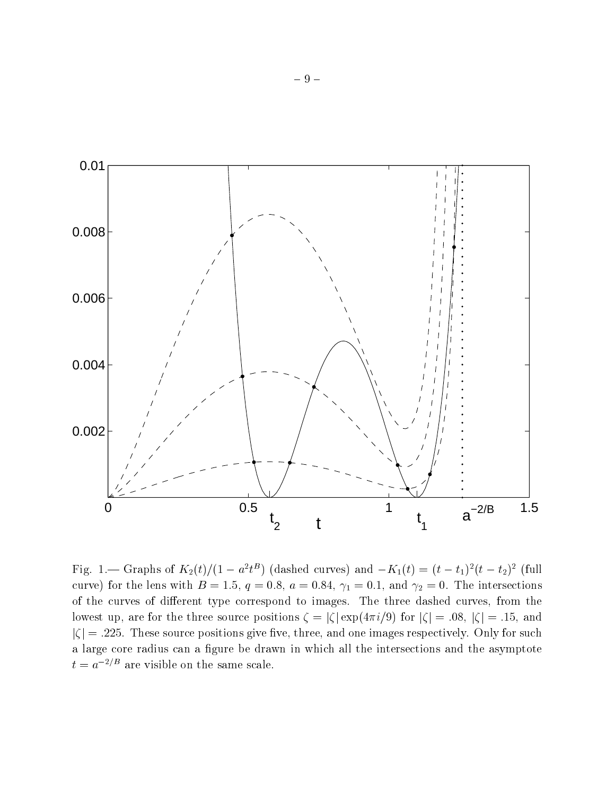

Fig. 1.— Graphs of  $K_2(t)/(1 - a^2 t^2)$  (dashed curves) and  $-K_1(t) = (t - t_1)^2(t - t_2)^2$  (full curve) for the lens with B  $\sim$  1:5, q  $\sim$  0:84, a  $\sim$  1:5, q  $\sim$  1, and  $\sim$  1, and  $\sim$  0.1, and 1.1, and 1.1, and 1.1, and 1.1, and 1.1, and 1.1, and 1.1, and 1.1, and 1.1, and 1.1, and 1.1, and 1.1, and 1.1, and 1.1 of the curves of different type correspond to images. The three dashed curves, from the lowest up, are for the three source positions  $\zeta = |\zeta| \exp(4\pi i/9)$  for  $|\zeta| = .08$ ,  $|\zeta| = .15$ , and  $|\zeta| = .225$ . These source positions give five, three, and one images respectively. Only for such a large core radius can a figure be drawn in which all the intersections and the asymptote  $t = a^{-2/B}$  are visible on the same scale.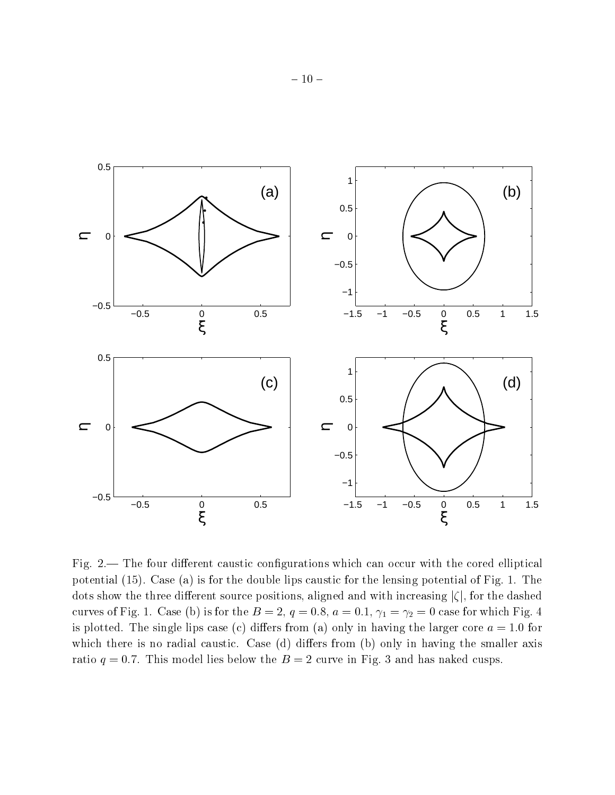

Fig. 2.— The four different caustic configurations which can occur with the cored elliptical potential (15). Case (a) is for the double lips caustic for the lensing potential of Fig. 1. The dots show the three different source positions, aligned and with increasing  $|\zeta|$ , for the dashed curves of Fig. 2. Case (b) is for the B  $=$   $\pm 1$  d) or which  $\pm 1$  and  $\pm 1$  and  $\pm 2$  and  $\pm 1$  and  $\pm 2$ is plotted. The single lips case (c) differs from (a) only in having the larger core  $a = 1.0$  for which there is no radial caustic. Case  $(d)$  differs from  $(b)$  only in having the smaller axis ratio  $q = 0.7$ . This model lies below the  $B = 2$  curve in Fig. 3 and has naked cusps.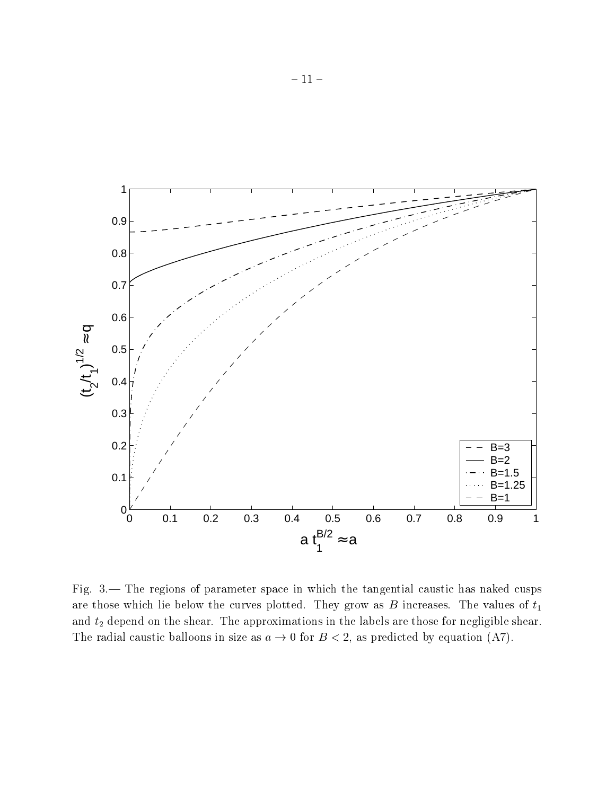

Fig.  $3$ — The regions of parameter space in which the tangential caustic has naked cusps are those which lie below the curves plotted. They grow as  $B$  increases. The values of  $t_1$ and t2 depend on the shear. The approximations in the labels are those for negligible shear. The radial caustic balloons in size as  $a \to 0$  for  $B < 2$ , as predicted by equation (A7).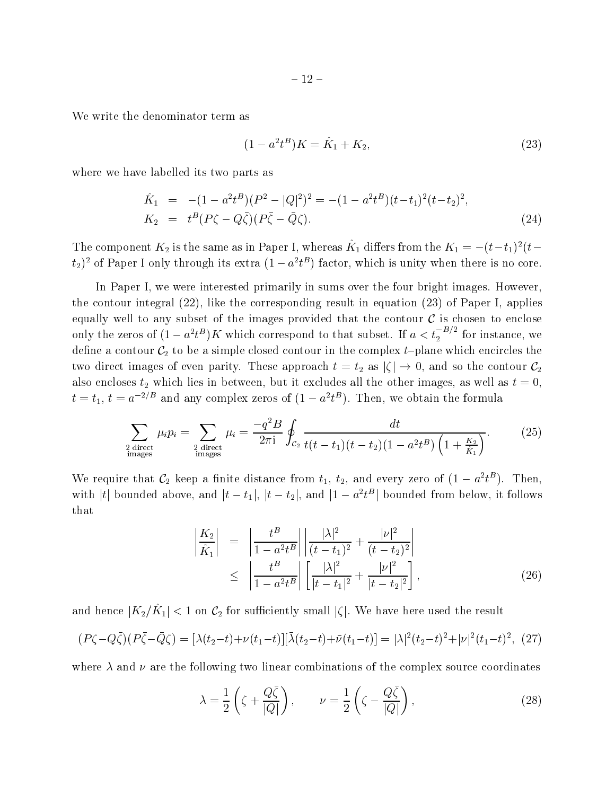We write the denominator term as

$$
(1 - a^2 t^B)K = \hat{K}_1 + K_2,\tag{23}
$$

where we have labelled its two parts as

$$
\hat{K}_1 = -(1 - a^2 t^B)(P^2 - |Q|^2)^2 = -(1 - a^2 t^B)(t - t_1)^2 (t - t_2)^2,
$$
\n
$$
K_2 = t^B (P\zeta - Q\bar{\zeta})(P\bar{\zeta} - \bar{Q}\zeta).
$$
\n(24)

The component  $K_2$  is the same as in Paper 1, whereas  $K_1$  differs from the  $K_1 = -(t-t_1)^2(t-t_2)^2$  $t_2$ ) of Paper I only through its extra (1  $-a^r t^r$  ) factor, which is unity when there is no core.

In Paper I, we were interested primarily in sums over the four bright images. However, the contour integral (22), like the corresponding result in equation (23) of Paper I, applies equally well to any subset of the images provided that the contour  $\mathcal C$  is chosen to enclose only the zeros of  $(1-a^2t^B)K$  which correspond to that subset. If  $a < t_2^{-B/2}$  for instance, we decrease a control on  $\varphi$  to be a simple control control on the complex the complex the complex theorem which enclose two direct images of even parity. These approaches the contour  $\Delta$  as j j  $\Delta$  and so the contour C2 as also encloses t2 which lies in between, but it excludes all the other in between, as well as well as well as  $\alpha$  $t = t_1$ ,  $t = a^{-2/3}$  and any complex zeros of  $(1 - a^2 t^D)$ . Then, we obtain the formula

$$
\sum_{\substack{2 \text{ direct} \\ \text{images}}} \mu_i p_i = \sum_{\substack{2 \text{ direct} \\ \text{images}}} \mu_i = \frac{-q^2 B}{2\pi i} \oint_{\mathcal{C}_2} \frac{dt}{t(t - t_1)(t - t_2)(1 - a^2 t^B) \left(1 + \frac{K_2}{\hat{K}_1}\right)}.
$$
(25)

We require that  $C_2$  keep a finite distance from  $t_1, t_2,$  and every zero of  $(1 - a^2 t^2)$ . Then, with  $|t|$  bounded above, and  $|t - t_1|$ ,  $|t - t_2|$ , and  $|1 - a^* t^-|$  bounded from below, it follows that

$$
\begin{array}{rcl}\n\left| \frac{K_2}{\hat{K}_1} \right| & = & \left| \frac{t^B}{1 - a^2 t^B} \right| \left| \frac{|\lambda|^2}{(t - t_1)^2} + \frac{|\nu|^2}{(t - t_2)^2} \right| \\
& \leq & \left| \frac{t^B}{1 - a^2 t^B} \right| \left[ \frac{|\lambda|^2}{|t - t_1|^2} + \frac{|\nu|^2}{|t - t_2|^2} \right],\n\end{array} \tag{26}
$$

and hence  $|K_2/K_1| \leq 1$  on  $C_2$  for sumerently small  $|\zeta|$ . We have here used the result

$$
(P\zeta - Q\bar{\zeta})(P\bar{\zeta} - \bar{Q}\zeta) = [\lambda(t_2 - t) + \nu(t_1 - t)][\bar{\lambda}(t_2 - t) + \bar{\nu}(t_1 - t)] = |\lambda|^2 (t_2 - t)^2 + |\nu|^2 (t_1 - t)^2, (27)
$$

where  $\lambda$  and  $\nu$  are the following two linear combinations of the complex source coordinates

$$
\lambda = \frac{1}{2} \left( \zeta + \frac{Q\bar{\zeta}}{|Q|} \right), \qquad \nu = \frac{1}{2} \left( \zeta - \frac{Q\bar{\zeta}}{|Q|} \right), \tag{28}
$$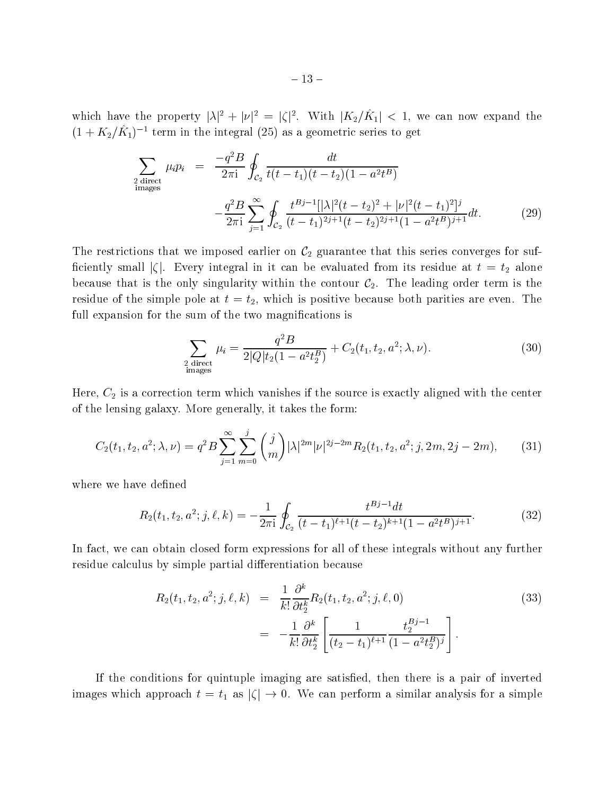which have the property  $|\lambda|^2 + |\nu|^2 = |\zeta|^2$ . With  $|\Lambda_2/\Lambda_1| \leq 1$ , we can now expand the  $(1 + K_2/K_1)^{-1}$  term in the integral (25) as a geometric series to get

$$
\sum_{\substack{2 \text{ direct} \\ \text{images}}} \mu_i p_i = \frac{-q^2 B}{2\pi i} \oint_{C_2} \frac{dt}{t(t - t_1)(t - t_2)(1 - a^2 t^B)} \n- \frac{q^2 B}{2\pi i} \sum_{j=1}^{\infty} \oint_{C_2} \frac{t^{Bj-1}[\lambda]^2 (t - t_2)^2 + |\nu|^2 (t - t_1)^2]^j}{(t - t_1)^{2j+1}(t - t_2)^{2j+1}(1 - a^2 t^B)^{j+1}} dt.
$$
\n(29)

The restrictions that we imposed earlier on C2 guarantee that this series converges for suf ciently small just integral integral integral integral integral in its residue at t  $\Delta$ because that is the only singularity within the contour  $\mathcal{C}_2$ . The leading order term is the residue of the simple pole at  $t = t_2$ , which is positive because both parities are even. The full expansion for the sum of the two magnifications is

$$
\sum_{\substack{2 \text{ direct} \\ \text{images}}} \mu_i = \frac{q^2 B}{2|Q| t_2 (1 - a^2 t_2^B)} + C_2(t_1, t_2, a^2; \lambda, \nu). \tag{30}
$$

 $\mathcal{A}=\mathcal{A}$  is a correction term which vanishes if the source is exactly aligned with the center is exactly aligned with the center is exactly aligned with the center is exactly aligned with the center is exactly align of the lensing galaxy. More generally, it takes the form:

$$
C_2(t_1, t_2, a^2; \lambda, \nu) = q^2 B \sum_{j=1}^{\infty} \sum_{m=0}^{j} {j \choose m} |\lambda|^{2m} |\nu|^{2j-2m} R_2(t_1, t_2, a^2; j, 2m, 2j-2m), \quad (31)
$$

where we have defined

$$
R_2(t_1, t_2, a^2; j, \ell, k) = -\frac{1}{2\pi i} \oint_{\mathcal{C}_2} \frac{t^{Bj-1} dt}{(t - t_1)^{\ell+1} (t - t_2)^{k+1} (1 - a^2 t^B)^{j+1}}.
$$
(32)

In fact, we can obtain closed form expressions for all of these integrals without any further residue calculus by simple partial differentiation because

$$
R_2(t_1, t_2, a^2; j, \ell, k) = \frac{1}{k!} \frac{\partial^k}{\partial t_2^k} R_2(t_1, t_2, a^2; j, \ell, 0)
$$
\n
$$
= -\frac{1}{k!} \frac{\partial^k}{\partial t_2^k} \left[ \frac{1}{(t_2 - t_1)^{\ell+1}} \frac{t_2^{Bj-1}}{(1 - a^2 t_2^B)^j} \right].
$$
\n(33)

If the conditions for quintuple imaging are satised, then there is a pair of inverted images which approach a similar approach to the three times  $\mathcal{U}$  is form a similar analysis for a simple  $\mathcal{U}$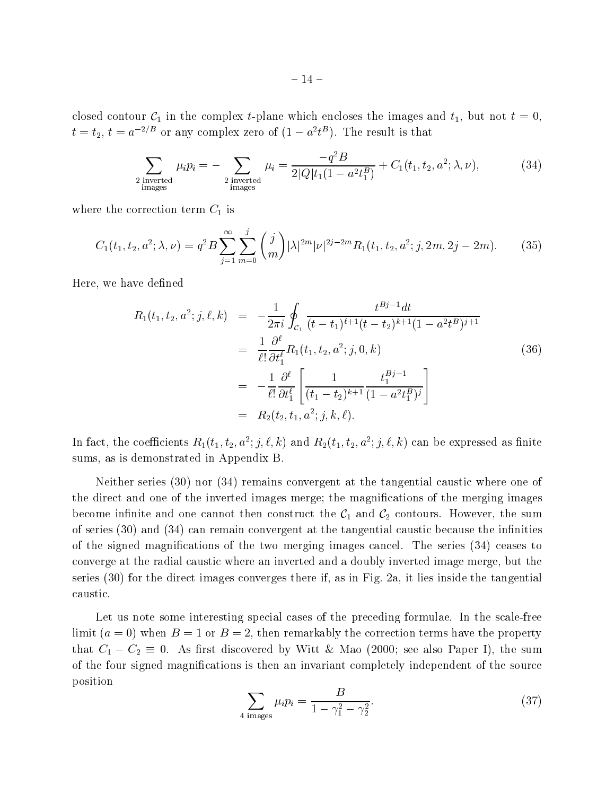closed contour C1 in the complex t-plane which encloses the images and the images and the images and the images and the images and the images and the images and the images and the images and the images and the images and  $t = t_2$ ,  $t = a^{-2/D}$  or any complex zero of  $(1 - a^2 t^D)$ . The result is that

$$
\sum_{\substack{2 \text{ inverted} \\ \text{images}}} \mu_i p_i = -\sum_{\substack{2 \text{ inverted} \\ \text{images}}} \mu_i = \frac{-q^2 B}{2|Q|t_1(1 - a^2 t_1^B)} + C_1(t_1, t_2, a^2; \lambda, \nu),\tag{34}
$$

where the correction term correction term  $\mathbf{c}_1$  is an

$$
C_1(t_1, t_2, a^2; \lambda, \nu) = q^2 B \sum_{j=1}^{\infty} \sum_{m=0}^{j} {j \choose m} |\lambda|^{2m} |\nu|^{2j-2m} R_1(t_1, t_2, a^2; j, 2m, 2j-2m). \tag{35}
$$

Here, we have defined

$$
R_{1}(t_{1}, t_{2}, a^{2}; j, \ell, k) = -\frac{1}{2\pi i} \oint_{\mathcal{C}_{1}} \frac{t^{Bj-1}dt}{(t - t_{1})^{\ell+1}(t - t_{2})^{k+1}(1 - a^{2}t^{B})^{j+1}}
$$
  
\n
$$
= \frac{1}{\ell!} \frac{\partial^{\ell}}{\partial t_{1}^{\ell}} R_{1}(t_{1}, t_{2}, a^{2}; j, 0, k)
$$
  
\n
$$
= -\frac{1}{\ell!} \frac{\partial^{\ell}}{\partial t_{1}^{\ell}} \left[ \frac{1}{(t_{1} - t_{2})^{k+1}} \frac{t_{1}^{Bj-1}}{(1 - a^{2}t_{1}^{B})^{j}} \right]
$$
  
\n
$$
= R_{2}(t_{2}, t_{1}, a^{2}; j, k, \ell).
$$
  
\n(36)

In fact, the coefficients  $R_1(t_1,t_2,a^*; j,\ell,k)$  and  $R_2(t_1,t_2,a^*; j,\ell,k)$  can be expressed as finite sums, as is demonstrated in Appendix B.

Neither series (30) nor (34) remains convergent at the tangential caustic where one of the direct and one of the inverted images merge; the magnications of the merging images  $\mathbf{f} = \mathbf{f} \mathbf{f} \qquad \mathbf{f} = \mathbf{f} \mathbf{f} \qquad \mathbf{f} = \mathbf{f} \mathbf{f} \qquad \mathbf{f} = \mathbf{f} \mathbf{f} \qquad \mathbf{f} = \mathbf{f} \mathbf{f} \qquad \mathbf{f} = \mathbf{f} \mathbf{f} \qquad \mathbf{f} = \mathbf{f} \mathbf{f} \qquad \mathbf{f} = \mathbf{f} \mathbf{f} \qquad \mathbf{f} = \mathbf{f} \mathbf{f} \qquad \mathbf{f} = \mathbf{f} \mathbf{f} \qquad$ of series (30) and (34) can remain convergent at the tangential caustic because the infinities of the signed magnications of the two merging images cancel. The series (34) ceases to converge at the radial caustic where an inverted and a doubly inverted image merge, but the series (30) for the direct images converges there if, as in Fig. 2a, it lies inside the tangential caustic.

Let us note some interesting special cases of the preceding formulae. In the scale-free limit  $(a = 0)$  when  $B = 1$  or  $B = 2$ , then remarkably the correction terms have the property that C1  $\sim$  2  $\sim$  as the model with the summer is the summer in the summer I also Paper II, the summer is the summer of the four signed magnications is then an invariant completely independent of the source position

$$
\sum_{4 \text{ images}} \mu_i p_i = \frac{B}{1 - \gamma_1^2 - \gamma_2^2}.
$$
 (37)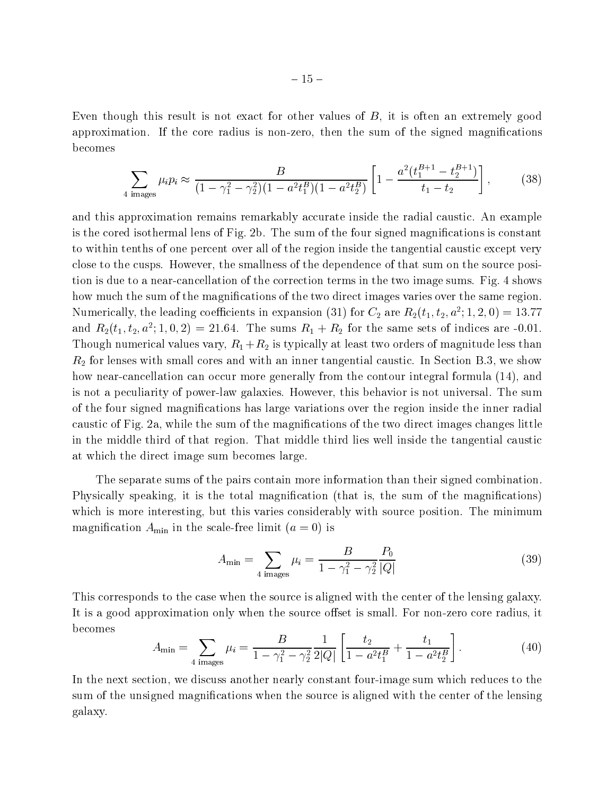Even though this result is not exact for other values of B, it is often an extremely good approximation. If the core radius is non-zero, then the sum of the signed magnications becomes

$$
\sum_{4 \text{ images}} \mu_i p_i \approx \frac{B}{(1 - \gamma_1^2 - \gamma_2^2)(1 - a^2 t_1^B)(1 - a^2 t_2^B)} \left[ 1 - \frac{a^2 (t_1^{B+1} - t_2^{B+1})}{t_1 - t_2} \right],\tag{38}
$$

and this approximation remains remarkably accurate inside the radial caustic. An example is the cored isothermal lens of Fig. 2b. The sum of the four signed magnications is constant to within tenths of one percent over all of the region inside the tangential caustic except very close to the cusps. However, the smallness of the dependence of that sum on the source position is due to a near-cancellation of the correction terms in the two image sums. Fig. 4 shows how much the sum of the magnifications of the two direct images varies over the same region. Numerically, the leading coefficients in expansion (31) for  $C_2$  are  $R_2(t_1,t_2,a^{\perp};1,Z,0)=13.77$ and  $R_2(t_1, t_2, a^{\text{-}}; 1, 0, 2) = 21.64$ . The sums  $R_1 + R_2$  for the same sets of indices are -0.01. Though numerical values vary, R1 +R2 is typically at least two orders of magnitude less than R2 for lenses with small cores and with an inner tangential caustic. In Section B.3, we show how near-cancellation can occur more generally from the contour integral formula (14), and is not a peculiarity of power-law galaxies. However, this behavior is not universal. The sum of the four signed magnications has large variations over the region inside the inner radial caustic of Fig. 2a, while the sum of the magnications of the two direct images changes little in the middle third of that region. That middle third lies well inside the tangential caustic at which the direct image sum becomes large.

The separate sums of the pairs contain more information than their signed combination. Physically speaking, it is the total magnification (that is, the sum of the magnifications) which is more interesting, but this varies considerably with source position. The minimum magnitude and a set of the scale-free limit (a scale-free limit (a  $\sim$  0) is a scale of the scale of  $\sim$ 

$$
A_{\min} = \sum_{4 \text{ images}} \mu_i = \frac{B}{1 - \gamma_1^2 - \gamma_2^2} \frac{P_0}{|Q|} \tag{39}
$$

This corresponds to the case when the source is aligned with the center of the lensing galaxy. It is a good approximation only when the source offset is small. For non-zero core radius, it becomes

$$
A_{\min} = \sum_{4 \text{ images}} \mu_i = \frac{B}{1 - \gamma_1^2 - \gamma_2^2} \frac{1}{2|Q|} \left[ \frac{t_2}{1 - a^2 t_1^B} + \frac{t_1}{1 - a^2 t_2^B} \right]. \tag{40}
$$

In the next section, we discuss another nearly constant four-image sum which reduces to the sum of the unsigned magnications when the source is aligned with the center of the lensing galaxy.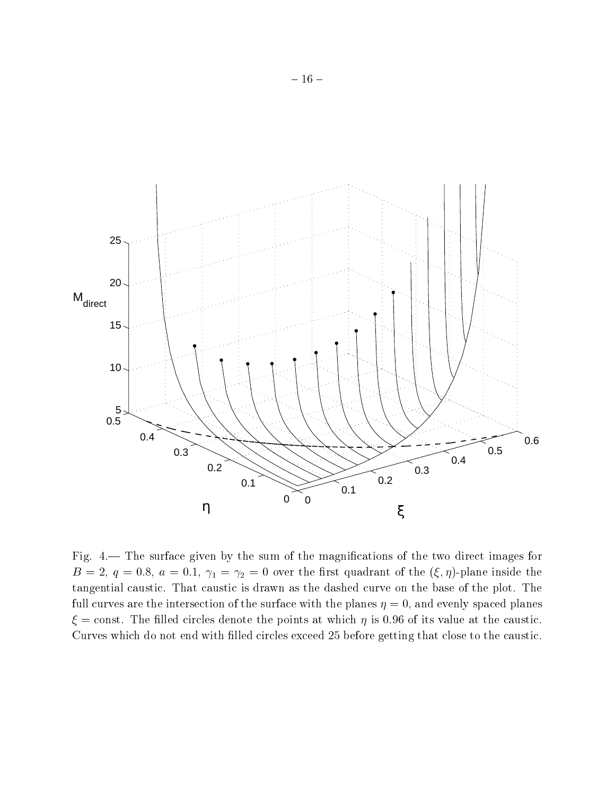

Fig.  $4-$  The surface given by the sum of the magnifications of the two direct images for  $\mathcal{A}$  , and  $\mathcal{A}$  are over the  $\mathcal{A}$  substitutions of the (i.e. ). In the following the (i.e. ) is the following the following the following the following the following the following the following the following t tangential caustic. That caustic is drawn as the dashed curve on the base of the plot. The full curves are the intersection of the surface with the planes  $\eta = 0$ , and evenly spaced planes  $\xi$  = const. The filled circles denote the points at which  $\eta$  is 0.96 of its value at the caustic. Curves which do not end with filled circles exceed 25 before getting that close to the caustic.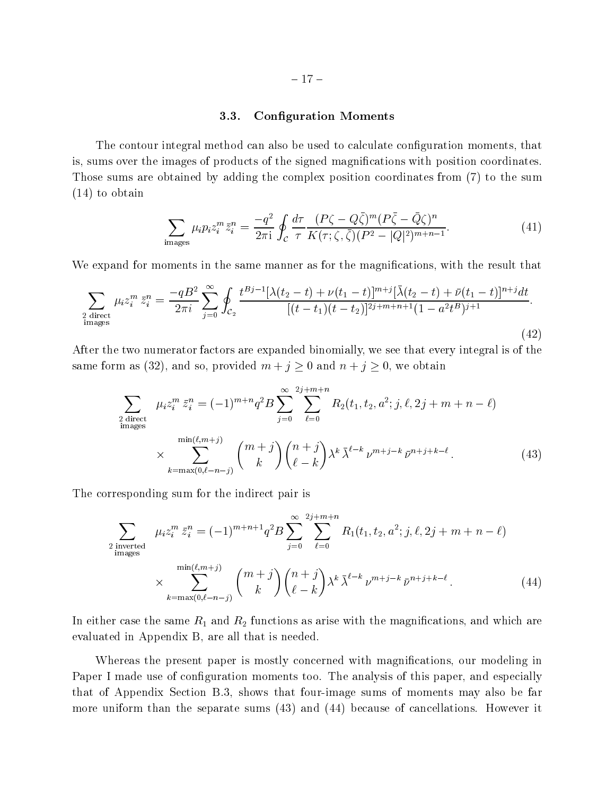## 3.3. Conguration Moments

The contour integral method can also be used to calculate conguration moments, that is, sums over the images of products of the signed magnications with position coordinates. Those sums are obtained by adding the complex position coordinates from (7) to the sum (14) to obtain

$$
\sum_{\text{images}} \mu_i p_i z_i^m \bar{z}_i^n = \frac{-q^2}{2\pi i} \oint_C \frac{d\tau}{\tau} \frac{(P\zeta - Q\bar{\zeta})^m (P\bar{\zeta} - \bar{Q}\zeta)^n}{K(\tau; \zeta, \bar{\zeta})(P^2 - |Q|^2)^{m+n-1}}.
$$
(41)

We expand for moments in the same manner as for the magnifications, with the result that

$$
\sum_{\substack{2 \text{ direct} \\ \text{images}}} \mu_i z_i^m \bar{z}_i^n = \frac{-qB^2}{2\pi i} \sum_{j=0}^{\infty} \oint_{C_2} \frac{t^{Bj-1} [\lambda(t_2 - t) + \nu(t_1 - t)]^{m+j} [\bar{\lambda}(t_2 - t) + \bar{\nu}(t_1 - t)]^{n+j} dt}{[(t - t_1)(t - t_2)]^{2j + m + n + 1} (1 - a^2 t^B)^{j+1}}.
$$
\n(42)

After the two numerator factors are expanded binomially, we see that every integral is of the same form as (32), and so, provided  $m + j \geq 0$  and  $n + j \geq 0$ , we obtain

$$
\sum_{\substack{2 \text{ direct} \\ \text{images}}} \mu_i z_i^m \bar{z}_i^n = (-1)^{m+n} q^2 B \sum_{j=0}^{\infty} \sum_{\ell=0}^{2j+m+n} R_2(t_1, t_2, a^2; j, \ell, 2j + m + n - \ell) \times \sum_{k=\max(0, \ell-n-j)}^{\min(\ell, m+j)} \binom{m+j}{k} \binom{n+j}{\ell-k} \lambda^k \bar{\lambda}^{\ell-k} \nu^{m+j-k} \bar{\nu}^{n+j+k-\ell}.
$$
\n(43)

The corresponding sum for the indirect pair is

$$
\sum_{\substack{2 \text{ inverted} \\ \text{images}}} \mu_i z_i^m \bar{z}_i^n = (-1)^{m+n+1} q^2 B \sum_{j=0}^{\infty} \sum_{\ell=0}^{2j+m+n} R_1(t_1, t_2, a^2; j, \ell, 2j + m + n - \ell) \\
\times \sum_{k=\max(0, \ell-n-j)}^{\min(\ell, m+j)} \binom{m+j}{k} \binom{n+j}{\ell-k} \lambda^k \bar{\lambda}^{\ell-k} \nu^{m+j-k} \bar{\nu}^{n+j+k-\ell}.
$$
\n(44)

In either case the same R1 and R2 functions as arise with the magnitude  $\Omega$  and which are magnitude with the magnitude  $\Omega$ evaluated in Appendix B, are all that is needed.

Whereas the present paper is mostly concerned with magnications, our modeling in Paper I made use of configuration moments too. The analysis of this paper, and especially that of Appendix Section B.3, shows that four-image sums of moments may also be far more uniform than the separate sums (43) and (44) because of cancellations. However it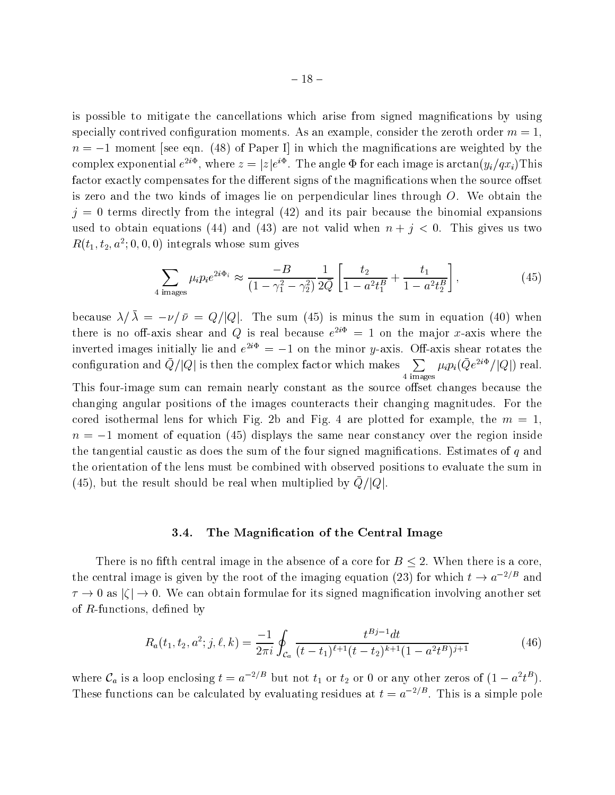is possible to mitigate the cancellations which arise from signed magnications by using specially contrived configuration moments. As an example, consider the zeroth order  $m = 1$ ,  $n = -1$  moment [see eqn. (48) of Paper I] in which the magnifications are weighted by the complex exponential  $e^{-z}$  , where  $z = |z|e^{z}$  . The angle  $\Psi$  for each image is arctan( $y_i/qx_i$ ) I his factor exactly compensates for the different signs of the magnifications when the source offset is zero and the two kinds of images lie on perpendicular lines through  $O$ . We obtain the  $j = 0$  terms directly from the integral (42) and its pair because the binomial expansions used to obtain equations (44) and (43) are not valid when  $n + j < 0$ . This gives us two  $R(t_1, t_2, a^{\text{-}}; 0, 0, 0)$  integrals whose sum gives

$$
\sum_{4 \text{ images}} \mu_i p_i e^{2i\Phi_i} \approx \frac{-B}{(1 - \gamma_1^2 - \gamma_2^2)} \frac{1}{2\bar{Q}} \left[ \frac{t_2}{1 - a^2 t_1^B} + \frac{t_1}{1 - a^2 t_2^B} \right],\tag{45}
$$

because  $\lambda/\bar{\lambda} = -\nu/\bar{\nu} = Q/|Q|$ . The sum (45) is minus the sum in equation (40) when there is no on-axis shear and Q is real because  $e^{++} = 1$  on the major x-axis where the inverted images initially lie and  $e^{-\epsilon} = -1$  on the minor y-axis. On-axis shear rotates the configuration and  $Q/|Q|$  is then the complex factor which makes  $\sum_{\mu_i} \mu_i (Q e^{2i\Phi}/|Q|)$ 4 images  $\mu_i p_i (Qe^{-2})/|Q|$  real. This four-image sum can remain nearly constant as the source offset changes because the changing angular positions of the images counteracts their changing magnitudes. For the cored isothermal lens for which Fig. 2b and Fig. 4 are plotted for example, the  $m = 1$ .  $n = -1$  moment of equation (45) displays the same near constancy over the region inside the tangential caustic as does the sum of the four signed magnifications. Estimates of  $q$  and the orientation of the lens must be combined with observed positions to evaluate the sum in  $\left(40\right)$ , but the result should be real when multiplied by  $\mathbb{Q}/\left\vert \mathbb{Q}\right\vert$ .

### 3.4. The Magnication of the Central Image

There is no fifth central image in the absence of a core for  $B \leq 2$ . When there is a core, the central image is given by the root of the imaging equation (23) for which  $t \to a^{-2/B}$  and  $\tau \to 0$  as  $|\zeta| \to 0$ . We can obtain formulae for its signed magnification involving another set of  $R$ -functions, defined by

$$
R_a(t_1, t_2, a^2; j, \ell, k) = \frac{-1}{2\pi i} \oint_{\mathcal{C}_a} \frac{t^{Bj-1} dt}{(t - t_1)^{\ell+1} (t - t_2)^{k+1} (1 - a^2 t^B)^{j+1}} \tag{46}
$$

where  $\mathcal{C}_a$  is a loop enclosing  $t = a^{-2/D}$  but not  $t_1$  or  $t_2$  or 0 or any other zeros of  $(1 - a^2 t^D)$ . These functions can be calculated by evaluating residues at  $t = a^{-2/D}$ . This is a simple pole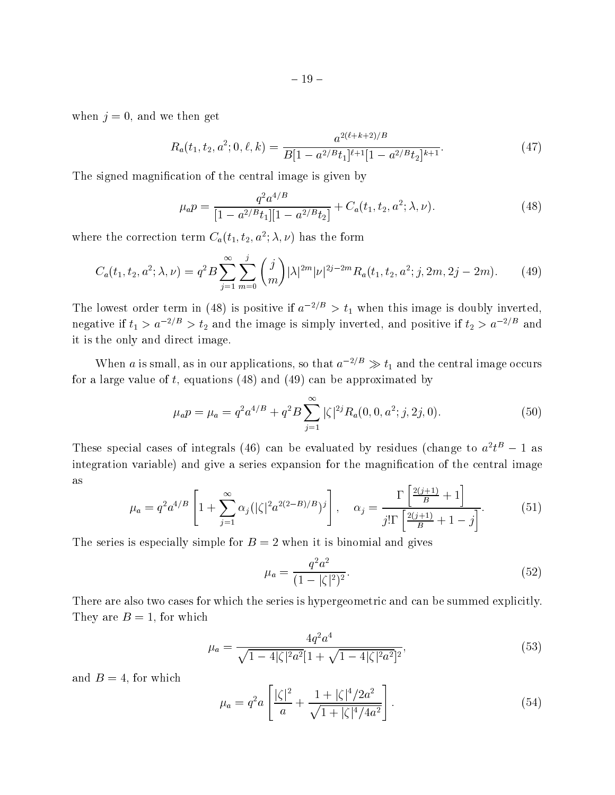when  $j = 0$ , and we then get

$$
R_a(t_1, t_2, a^2; 0, \ell, k) = \frac{a^{2(\ell + k + 2)/B}}{B[1 - a^{2/B}t_1]^{\ell + 1}[1 - a^{2/B}t_2]^{k+1}}.
$$
\n(47)

The signed magnification of the central image is given by

$$
\mu_a p = \frac{q^2 a^{4/B}}{[1 - a^{2/B} t_1][1 - a^{2/B} t_2]} + C_a(t_1, t_2, a^2; \lambda, \nu).
$$
\n(48)

where the correction term  $C_a(t_1, t_2, a^{\dagger}; \lambda, \nu)$  has the form

$$
C_a(t_1, t_2, a^2; \lambda, \nu) = q^2 B \sum_{j=1}^{\infty} \sum_{m=0}^{j} {j \choose m} |\lambda|^{2m} |\nu|^{2j-2m} R_a(t_1, t_2, a^2; j, 2m, 2j-2m). \tag{49}
$$

The lowest order term in (48) is positive if  $a^{-2/D} > t_1$  when this image is doubly inverted, negative if  $t_1 > a^{-2/D} > t_2$  and the image is simply inverted, and positive if  $t_2 > a^{-2/D}$  and it is the only and direct image.

When a is small, as in our applications, so that  $a^{-2/D} \gg t_1$  and the central image occurs for a large value of t, equations  $(48)$  and  $(49)$  can be approximated by

$$
\mu_a p = \mu_a = q^2 a^{4/B} + q^2 B \sum_{j=1}^{\infty} |\zeta|^{2j} R_a(0, 0, a^2; j, 2j, 0).
$$
 (50)

These special cases of integrals (40) can be evaluated by residues (change to  $a^Tt^+ = 1$  as integration variable) and give a series expansion for the magnication of the central image as

$$
\mu_a = q^2 a^{4/B} \left[ 1 + \sum_{j=1}^{\infty} \alpha_j (|\zeta|^2 a^{2(2-B)/B})^j \right], \quad \alpha_j = \frac{\Gamma\left[\frac{2(j+1)}{B} + 1\right]}{j! \Gamma\left[\frac{2(j+1)}{B} + 1 - j\right]}.
$$
(51)

The series is especially simple for  $B = 2$  when it is binomial and gives

$$
\mu_a = \frac{q^2 a^2}{(1 - |\zeta|^2)^2}.
$$
\n(52)

There are also two cases for which the series is hypergeometric and can be summed explicitly. They are  $B = 1$ , for which

$$
\mu_a = \frac{4q^2a^4}{\sqrt{1 - 4|\zeta|^2 a^2} [1 + \sqrt{1 - 4|\zeta|^2 a^2}]^2},\tag{53}
$$

and  $B = 4$ , for which

$$
\mu_a = q^2 a \left[ \frac{|\zeta|^2}{a} + \frac{1 + |\zeta|^4 / 2a^2}{\sqrt{1 + |\zeta|^4 / 4a^2}} \right].
$$
\n(54)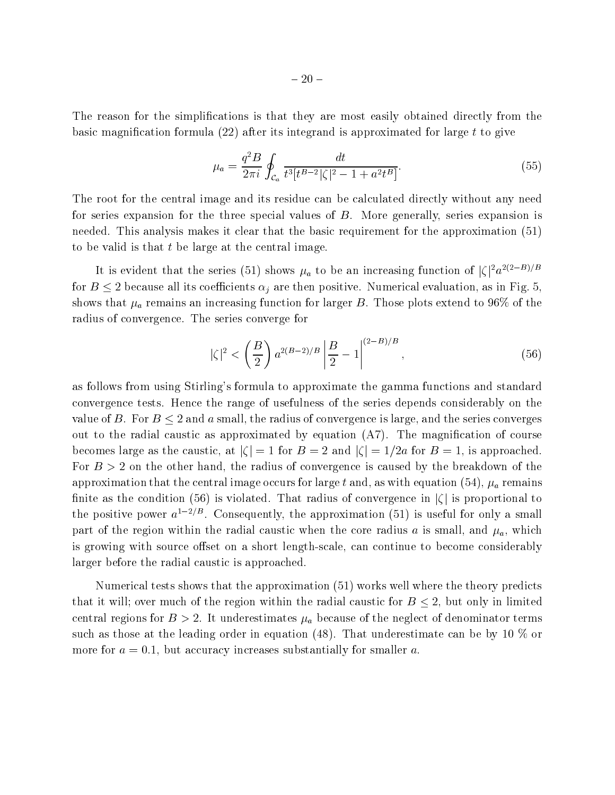The reason for the simplications is that they are most easily obtained directly from the basic magnification formula  $(22)$  after its integrand is approximated for large t to give

$$
\mu_a = \frac{q^2 B}{2\pi i} \oint_{\mathcal{C}_a} \frac{dt}{t^3 [t^{B-2}|\zeta|^2 - 1 + a^2 t^B]}.
$$
\n(55)

The root for the central image and its residue can be calculated directly without any need for series expansion for the three special values of B. More generally, series expansion is needed. This analysis makes it clear that the basic requirement for the approximation (51) to be valid is that  $t$  be large at the central image.

It is evident that the series (51) shows  $\mu_a$  to be an increasing function of  $|\zeta|^2 a^{2(2-B)/B}$ for  $B \le 2$  because all its coefficients  $\alpha_i$  are then positive. Numerical evaluation, as in Fig. 5, shows that  $\mu_a$  remains an increasing function for larger B. Those plots extend to 96% of the radius of convergence. The series converge for

$$
|\zeta|^2 < \left(\frac{B}{2}\right) a^{2(B-2)/B} \left|\frac{B}{2} - 1\right|^{(2-B)/B},\tag{56}
$$

as follows from using Stirling's formula to approximate the gamma functions and standard convergence tests. Hence the range of usefulness of the series depends considerably on the value of B. For  $B \leq 2$  and a small, the radius of convergence is large, and the series converges out to the radial caustic as approximated by equation  $(A7)$ . The magnification of course becomes large as the caustic, at  $|\zeta| = 1$  for  $B = 2$  and  $|\zeta| = 1/2a$  for  $B = 1$ , is approached. For  $B > 2$  on the other hand, the radius of convergence is caused by the breakdown of the approximation that the central image occurs for large t and, as with equation (54),  $\mu_a$  remains finite as the condition (56) is violated. That radius of convergence in  $|\zeta|$  is proportional to the positive power  $a^{1-2/D}$ . Consequently, the approximation (51) is useful for only a small part of the region within the radial caustic when the core radius a is small, and  $\mu_a$ , which is growing with source offset on a short length-scale, can continue to become considerably larger before the radial caustic is approached.

Numerical tests shows that the approximation (51) works well where the theory predicts that it will; over much of the region within the radial caustic for  $B \leq 2$ , but only in limited central regions for  $B > 2$ . It underestimates  $\mu_a$  because of the neglect of denominator terms such as those at the leading order in equation (48). That underestimate can be by 10  $\%$  or more for  $a = 0.1$ , but accuracy increases substantially for smaller a.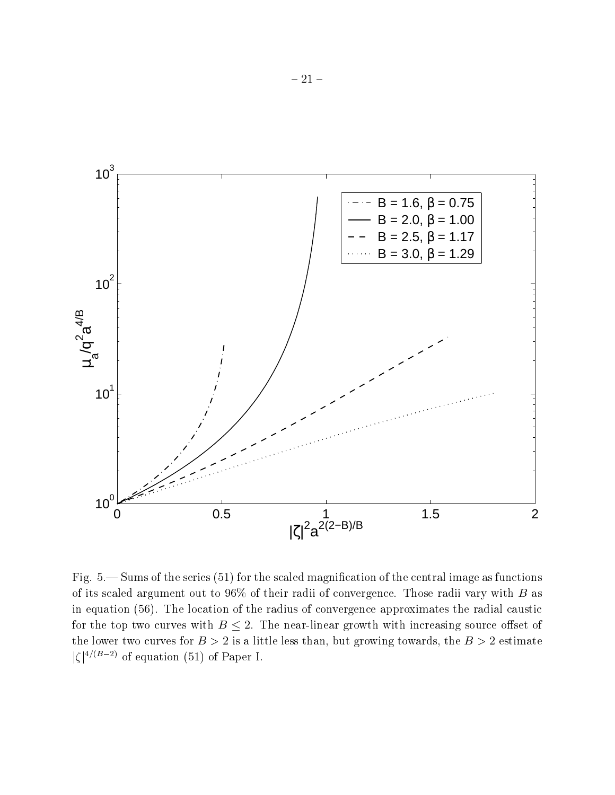

Fig.  $5$ — Sums of the series  $(51)$  for the scaled magnification of the central image as functions of its scaled argument out to  $96\%$  of their radii of convergence. Those radii vary with B as in equation (56). The location of the radius of convergence approximates the radial caustic for the top two curves with  $B \leq 2$ . The near-linear growth with increasing source offset of the lower two curves for  $B > 2$  is a little less than, but growing towards, the  $B > 2$  estimate  $|\zeta|^{4/(B-2)}$  of equation (51) of Paper I.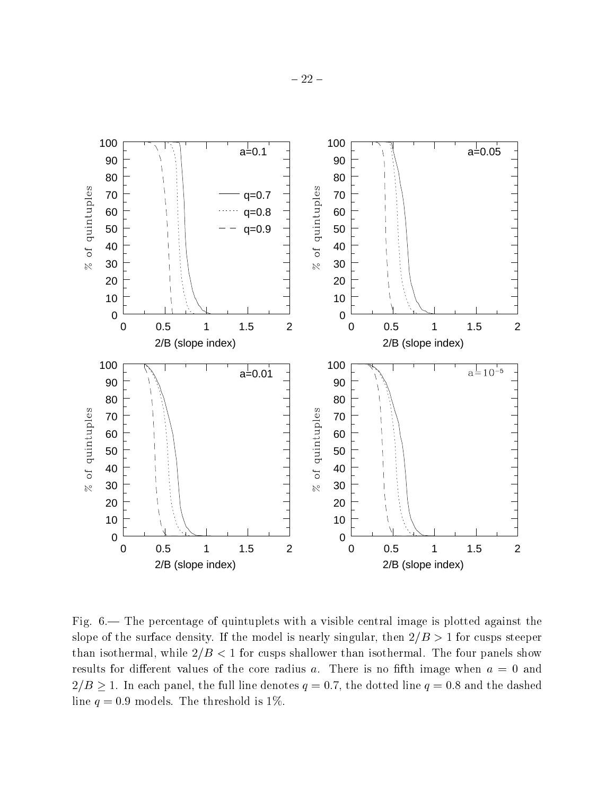

Fig. — The percentage of quintuplets with a visible central image is plotted against the slope of the surface density. If the model is nearly singular, then  $2/B > 1$  for cusps steeper than isothermal, while  $2/B < 1$  for cusps shallower than isothermal. The four panels show results for different values of the core radius a. There is no fifth image when  $a = 0$  and  $2/B \ge 1$ . In each panel, the full line denotes  $q = 0.7$ , the dotted line  $q = 0.8$  and the dashed line  $q = 0.9$  models. The threshold is 1%.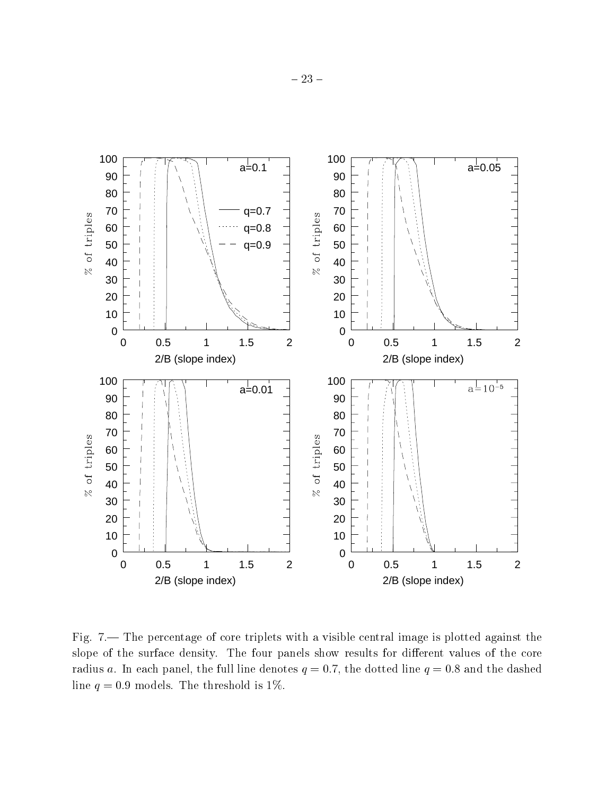

Fig. 7.— The percentage of core triplets with a visible central image is plotted against the slope of the surface density. The four panels show results for different values of the core radius a. In each panel, the full line denotes  $q = 0.7$ , the dotted line  $q = 0.8$  and the dashed line  $q = 0.9$  models. The threshold is 1%.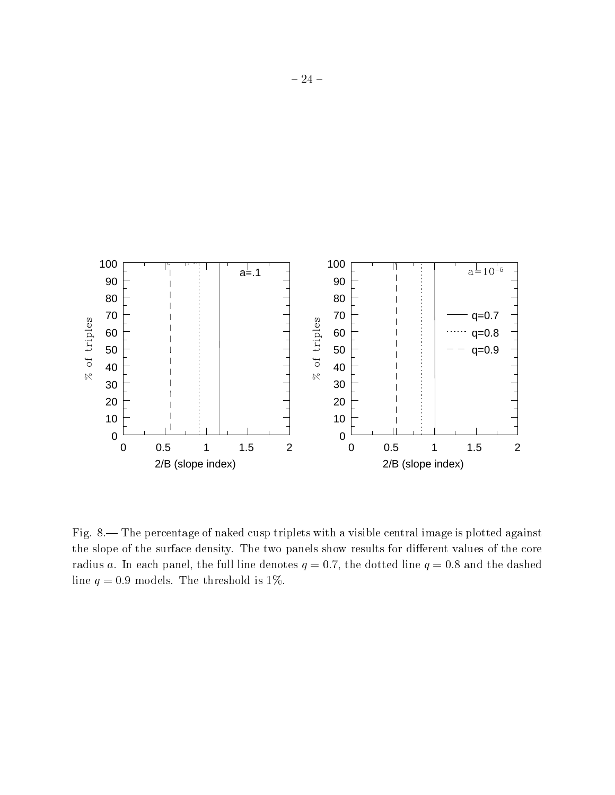

Fig. 8.— The percentage of naked cusp triplets with a visible central image is plotted against the slope of the surface density. The two panels show results for different values of the core radius a. In each panel, the full line denotes  $q = 0.7$ , the dotted line  $q = 0.8$  and the dashed line  $q = 0.9$  models. The threshold is 1%.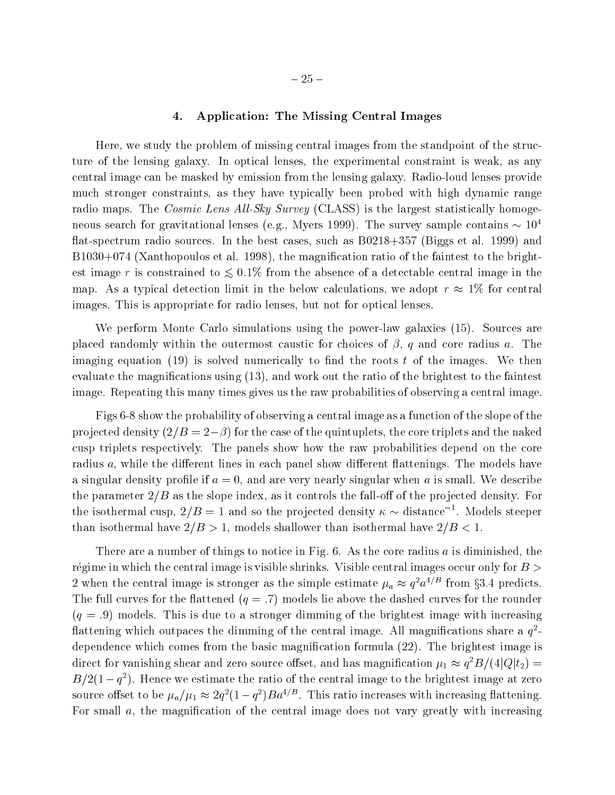# 4. Application: The Missing Central Images

Here, we study the problem of missing central images from the standpoint of the structure of the lensing galaxy. In optical lenses, the experimental constraint is weak, as any central image can be masked by emission from the lensing galaxy. Radio-loud lenses provide much stronger constraints, as they have typically been probed with high dynamic range radio maps. The *Cosmic Lens All-Sky Survey* (CLASS) is the largest statistically homogeneous search for gravitational lenses (e.g., Myers 1999). The survey sample contains  $\sim 10^4$ flat-spectrum radio sources. In the best cases, such as  $B0218+357$  (Biggs et al. 1999) and B1030+074 (Xanthopoulos et al. 1998), the magnification ratio of the faintest to the brightest image r is constrained to  $\lesssim 0.1\%$  from the absence of a detectable central image in the map. As a typical detection limit in the below calculations, we adopt  $r \approx 1\%$  for central images. This is appropriate for radio lenses, but not for optical lenses.

We perform Monte Carlo simulations using the power-law galaxies (15). Sources are placed randomly within the outermost caustic for choices of  $\beta$ , q and core radius a. The imaging equation (19) is solved numerically to find the roots t of the images. We then evaluate the magnications using (13), and work out the ratio of the brightest to the faintest image. Repeating this many times gives us the raw probabilities of observing a central image.

Figs 6-8 show the probability of observing a central image as a function of the slope of the projected density  $(2/B = 2-\beta)$  for the case of the quintuplets, the core triplets and the naked cusp triplets respectively. The panels show how the raw probabilities depend on the core radius  $a$ , while the different lines in each panel show different flattenings. The models have a singular density profile if  $a = 0$ , and are very nearly singular when a is small. We describe the parameter  $2/B$  as the slope index, as it controls the fall-off of the projected density. For the isothermal cusp,  $2/B = 1$  and so the projected density  $\kappa \sim$  distance<sup>-1</sup>. Models steeper than isothermal have  $2/B > 1$ , models shallower than isothermal have  $2/B < 1$ .

There are a number of things to notice in Fig.  $6$ . As the core radius a is diminished, the régime in which the central image is visible shrinks. Visible central images occur only for  $B >$ 2 when the central image is stronger as the simple estimate  $\mu_a \approx q^\mu a^{\nu-1}$  from §5.4 predicts. The full curves for the flattened  $(q=.7)$  models lie above the dashed curves for the rounder  $(q = .9)$  models. This is due to a stronger dimming of the brightest image with increasing  $\rm{margmin}$  which outpaces the dimining of the central image. All magnifications share a  $q$ dependence which comes from the basic magnification formula (22). The brightest image is direct for vanishing shear and zero source offset, and has magnification  $\mu_1 \approx q$  b/(4|Q| $\iota_2$ ) =  $B/Z(1 - q^{-})$ . Hence we estimate the ratio of the central image to the brightest image at zero source onset to be  $\mu_a/\mu_1 \approx zq$  (1  $-q$  )  $Ba^{1/2}$  . This ratio increases with increasing nattening. For small  $a$ , the magnification of the central image does not vary greatly with increasing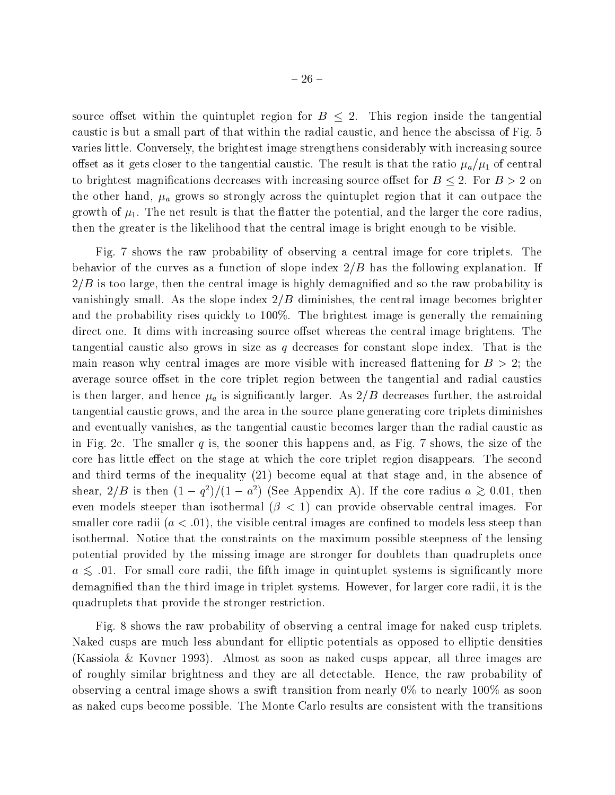$-26 -$ 

caustic is but a small part of that within the radial caustic, and hence the abscissa of Fig. 5 varies little. Conversely, the brightest image strengthens considerably with increasing source offset as it gets closer to the tangential caustic. The result is that the ratio  $\mu_a/\mu_1$  of central to brightest magnifications decreases with increasing source offset for  $B \leq 2$ . For  $B > 2$  on the other hand,  $\mu_a$  grows so strongly across the quintuplet region that it can outpace the growth of  $\mu_1$ . The net result is that the flatter the potential, and the larger the core radius, then the greater is the likelihood that the central image is bright enough to be visible.

Fig. 7 shows the raw probability of observing a central image for core triplets. The behavior of the curves as a function of slope index  $2/B$  has the following explanation. If  $2/B$  is too large, then the central image is highly demagnified and so the raw probability is vanishingly small. As the slope index  $2/B$  diminishes, the central image becomes brighter and the probability rises quickly to 100%. The brightest image is generally the remaining direct one. It dims with increasing source offset whereas the central image brightens. The tangential caustic also grows in size as  $q$  decreases for constant slope index. That is the main reason why central images are more visible with increased flattening for  $B > 2$ ; the average source offset in the core triplet region between the tangential and radial caustics is then larger, and hence  $\mu_a$  is significantly larger. As  $2/B$  decreases further, the astroidal tangential caustic grows, and the area in the source plane generating core triplets diminishes and eventually vanishes, as the tangential caustic becomes larger than the radial caustic as in Fig. 2c. The smaller q is, the sooner this happens and, as Fig. 7 shows, the size of the core has little effect on the stage at which the core triplet region disappears. The second and third terms of the inequality (21) become equal at that stage and, in the absence of shear,  $2/D$  is then  $(1 - q<sup>2</sup>)/(1 - a<sup>2</sup>)$  (See Appendix A). If the core radius  $a \approx 0.01$ , then even models steeper than isothermal  $(\beta < 1)$  can provide observable central images. For smaller core radii  $(a < .01)$ , the visible central images are confined to models less steep than isothermal. Notice that the constraints on the maximum possible steepness of the lensing potential provided by the missing image are stronger for doublets than quadruplets once  $a \lesssim 0.01$ . For small core radii, the fifth image in quintuplet systems is significantly more demagnied than the third image in triplet systems. However, for larger core radii, it is the quadruplets that provide the stronger restriction.

Fig. 8 shows the raw probability of observing a central image for naked cusp triplets. Naked cusps are much less abundant for elliptic potentials as opposed to elliptic densities (Kassiola & Kovner 1993). Almost as soon as naked cusps appear, all three images are of roughly similar brightness and they are all detectable. Hence, the raw probability of observing a central image shows a swift transition from nearly 0% to nearly 100% as soon as naked cups become possible. The Monte Carlo results are consistent with the transitions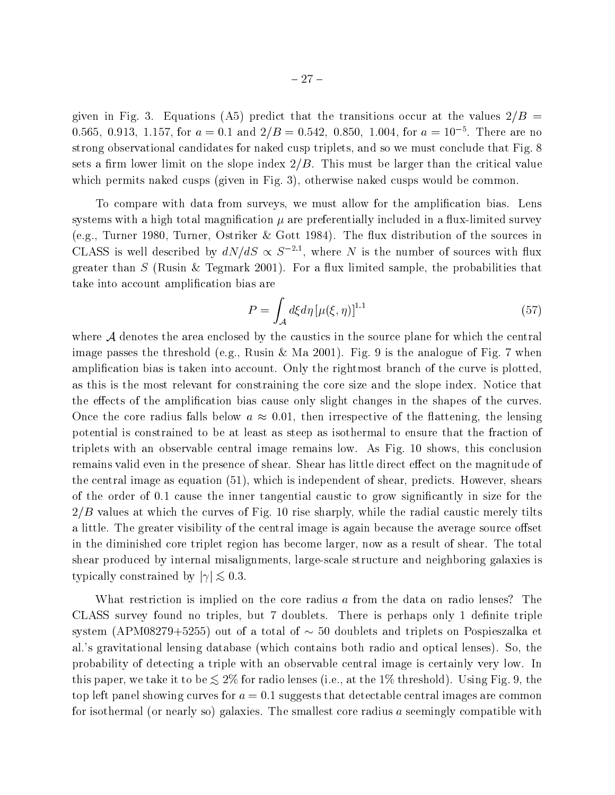given in Fig. 3. Equations (A5) predict that the transitions occur at the values  $2/B =$ 0.565, 0.913, 1.157, for  $a = 0.1$  and  $2/B = 0.542$ , 0.850, 1.004, for  $a = 10^{-5}$ . There are no strong observational candidates for naked cusp triplets, and so we must conclude that Fig. 8 sets a firm lower limit on the slope index  $2/B$ . This must be larger than the critical value which permits naked cusps (given in Fig. 3), otherwise naked cusps would be common.

To compare with data from surveys, we must allow for the amplification bias. Lens systems with a high total magnification  $\mu$  are preferentially included in a flux-limited survey (e.g., Turner 1980, Turner, Ostriker & Gott 1984). The flux distribution of the sources in CLASS is well described by  $dN/dS \propto S^{-2.1}$ , where N is the number of sources with flux greater than  $S$  (Rusin & Tegmark 2001). For a flux limited sample, the probabilities that take into account amplication bias are

$$
P = \int_{\mathcal{A}} d\xi d\eta \left[ \mu(\xi, \eta) \right]^{1.1} \tag{57}
$$

where A denotes the area enclosed by the caustics in the source plane for which the central image passes the threshold (e.g., Rusin & Ma 2001). Fig. 9 is the analogue of Fig. 7 when amplication bias is taken into account. Only the rightmost branch of the curve is plotted, as this is the most relevant for constraining the core size and the slope index. Notice that the effects of the amplification bias cause only slight changes in the shapes of the curves. Once the core radius falls below  $a \approx 0.01$ , then irrespective of the flattening, the lensing potential is constrained to be at least as steep as isothermal to ensure that the fraction of triplets with an observable central image remains low. As Fig. 10 shows, this conclusion remains valid even in the presence of shear. Shear has little direct effect on the magnitude of the central image as equation (51), which is independent of shear, predicts. However, shears of the order of 0.1 cause the inner tangential caustic to grow signicantly in size for the  $2/B$  values at which the curves of Fig. 10 rise sharply, while the radial caustic merely tilts a little. The greater visibility of the central image is again because the average source offset in the diminished core triplet region has become larger, now as a result of shear. The total shear produced by internal misalignments, large-scale structure and neighboring galaxies is typically constrained by  $|\gamma| \lesssim 0.3$ .

What restriction is implied on the core radius a from the data on radio lenses? The CLASS survey found no triples, but 7 doublets. There is perhaps only 1 definite triple system (APM08279+5255) out of a total of  $\sim$  50 doublets and triplets on Pospieszalka et al.'s gravitational lensing database (which contains both radio and optical lenses). So, the probability of detecting a triple with an observable central image is certainly very low. In this paper, we take it to be  $\leq 2\%$  for radio lenses (i.e., at the 1% threshold). Using Fig. 9, the top left panel showing curves for  $a = 0.1$  suggests that detectable central images are common for isothermal (or nearly so) galaxies. The smallest core radius a seemingly compatible with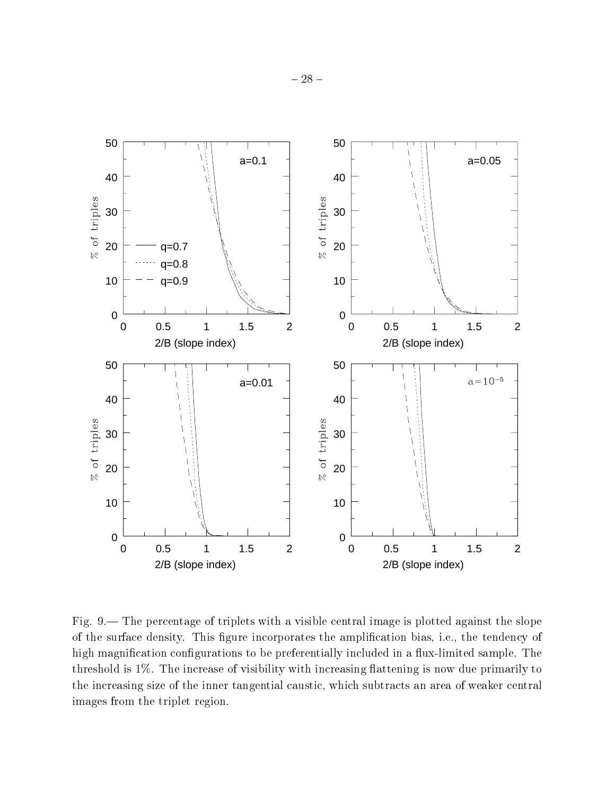

Fig.  $9$ — The percentage of triplets with a visible central image is plotted against the slope of the surface density. This figure incorporates the amplification bias, i.e., the tendency of high magnification configurations to be preferentially included in a flux-limited sample. The threshold is  $1\%$ . The increase of visibility with increasing flattening is now due primarily to the increasing size of the inner tangential caustic, which subtracts an area of weaker central images from the triplet region.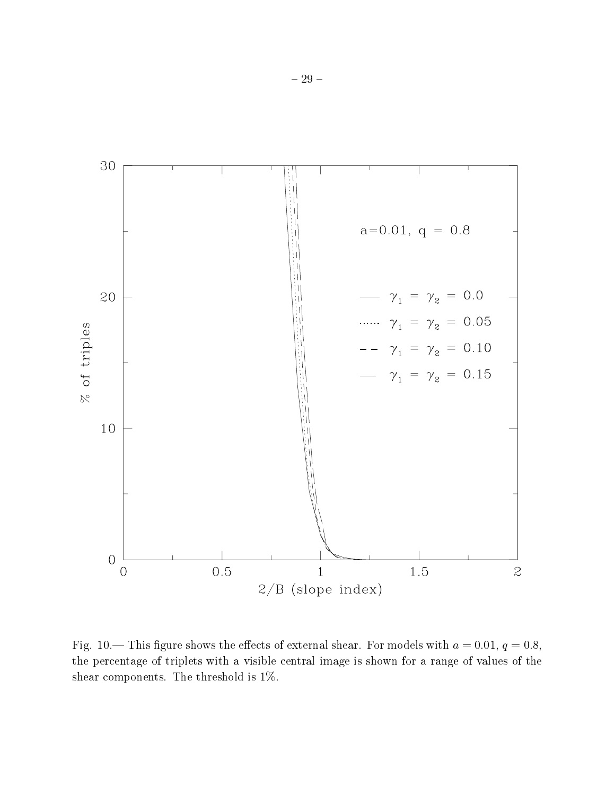

Fig. 10.— This figure shows the effects of external shear. For models with  $a = 0.01$ ,  $q = 0.8$ , the percentage of triplets with a visible central image is shown for a range of values of the shear components. The threshold is 1%.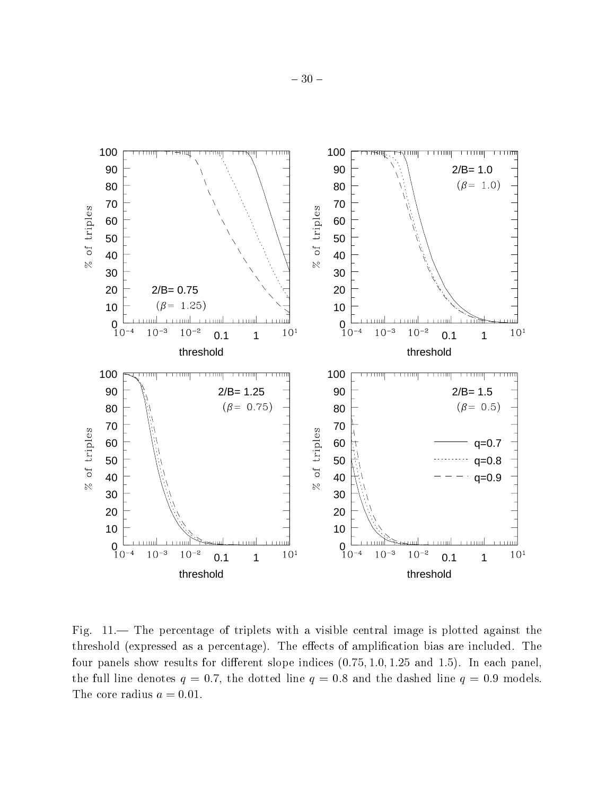

Fig. — The percentage of triplets with a visible central image is plotted against the threshold (expressed as a percentage). The effects of amplification bias are included. The four panels show results for different slope indices  $(0.75, 1.0, 1.25, 1.0, 1.5)$ . In each panel, the full line denotes  $q = 0.7$ , the dotted line  $q = 0.8$  and the dashed line  $q = 0.9$  models. The core radius  $a = 0.01$ .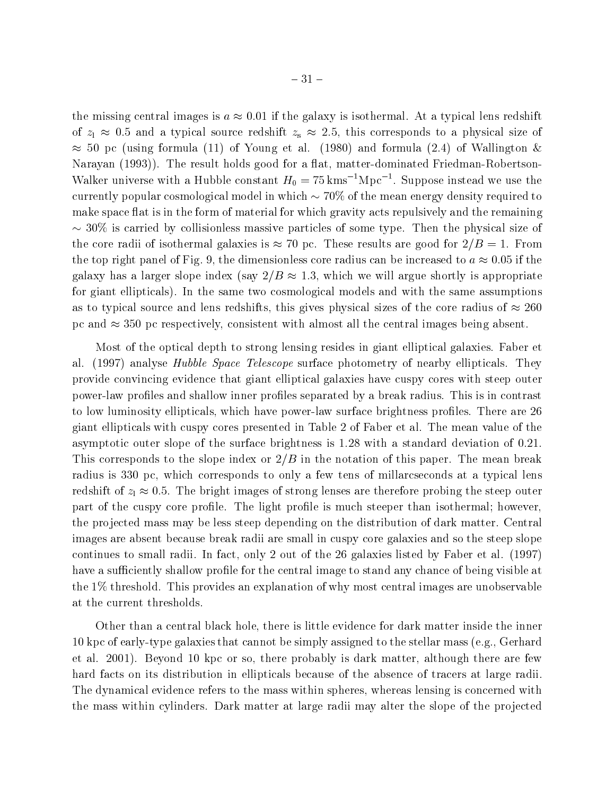the missing central images is  $a \approx 0.01$  if the galaxy is isothermal. At a typical lens redshift of zl 0:5 and <sup>a</sup> typical source redshift zs 2:5, this corresponds to <sup>a</sup> physical size of  $\approx$  50 pc (using formula (11) of Young et al. (1980) and formula (2.4) of Wallington & Narayan (1993)). The result holds good for a flat, matter-dominated Friedman-Robertson-Walker universe with a Hubble constant  $H_0 = 75 \,\mathrm{km s}^{-1} \mathrm{Mpc}^{-1}$ . Suppose instead we use the currently popular cosmological model in which  $\sim 70\%$  of the mean energy density required to make space flat is in the form of material for which gravity acts repulsively and the remaining  $\sim$  30% is carried by collisionless massive particles of some type. Then the physical size of the core radii of isothermal galaxies is  $\approx 70$  pc. These results are good for  $2/B = 1$ . From the top right panel of Fig. 9, the dimensionless core radius can be increased to  $a \approx 0.05$  if the galaxy has a larger slope index (say  $2/B \approx 1.3$ , which we will argue shortly is appropriate for giant ellipticals). In the same two cosmological models and with the same assumptions as to typical source and lens redshifts, this gives physical sizes of the core radius of  $\approx 260$ pc and  $\approx$  350 pc respectively, consistent with almost all the central images being absent.

Most of the optical depth to strong lensing resides in giant elliptical galaxies. Faber et al. (1997) analyse Hubble Space Telescope surface photometry of nearby ellipticals. They provide convincing evidence that giant elliptical galaxies have cuspy cores with steep outer power-law profiles and shallow inner profiles separated by a break radius. This is in contrast to low luminosity ellipticals, which have power-law surface brightness profiles. There are 26 giant ellipticals with cuspy cores presented in Table 2 of Faber et al. The mean value of the asymptotic outer slope of the surface brightness is 1:28 with a standard deviation of 0:21. This corresponds to the slope index or  $2/B$  in the notation of this paper. The mean break radius is 330 pc, which corresponds to only a few tens of millarcseconds at a typical lens redshift of  $\alpha$  of strong lenses are the bright images of strong lenses are the step outer problem in the steep outer problem in the step outer problem in the step outer problem in the step outer problem in the step oute part of the cuspy core profile. The light profile is much steeper than isothermal; however, the projected mass may be less steep depending on the distribution of dark matter. Central images are absent because break radii are small in cuspy core galaxies and so the steep slope continues to small radii. In fact, only 2 out of the 26 galaxies listed by Faber et al. (1997) have a sufficiently shallow profile for the central image to stand any chance of being visible at the 1% threshold. This provides an explanation of why most central images are unobservable at the current thresholds.

Other than a central black hole, there is little evidence for dark matter inside the inner 10 kpc of early-type galaxies that cannot be simply assigned to the stellar mass (e.g., Gerhard et al. 2001). Beyond 10 kpc or so, there probably is dark matter, although there are few hard facts on its distribution in ellipticals because of the absence of tracers at large radii. The dynamical evidence refers to the mass within spheres, whereas lensing is concerned with the mass within cylinders. Dark matter at large radii may alter the slope of the projected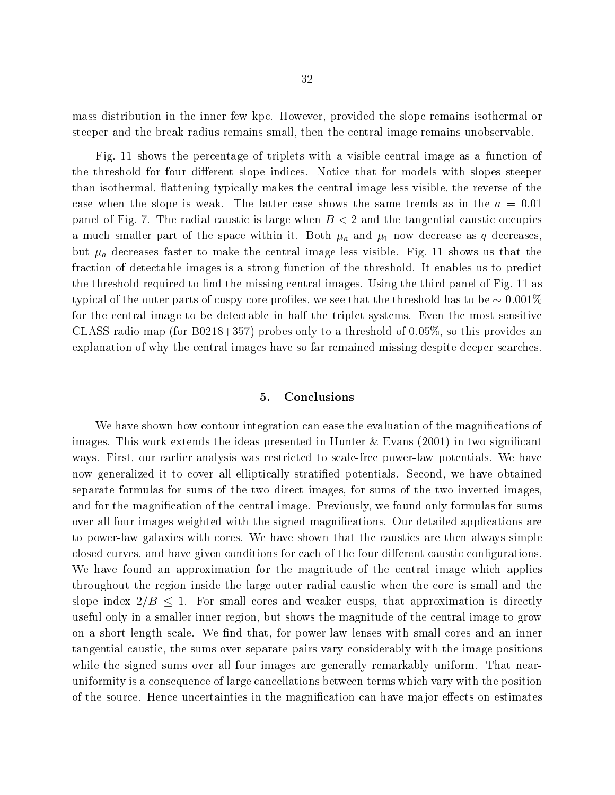mass distribution in the inner few kpc. However, provided the slope remains isothermal or steeper and the break radius remains small, then the central image remains unobservable.

Fig. 11 shows the percentage of triplets with a visible central image as a function of the threshold for four different slope indices. Notice that for models with slopes steeper than isothermal, 
attening typically makes the central image less visible, the reverse of the case when the slope is weak. The latter case shows the same trends as in the  $a = 0.01$ panel of Fig. 7. The radial caustic is large when  $B < 2$  and the tangential caustic occupies a much smaller part of the space within it. Both  $\mu_a$  and  $\mu_1$  now decrease as q decreases, but  $\mu_a$  decreases faster to make the central image less visible. Fig. 11 shows us that the fraction of detectable images is a strong function of the threshold. It enables us to predict the threshold required to find the missing central images. Using the third panel of Fig. 11 as typical of the outer parts of cuspy core profiles, we see that the threshold has to be  $\sim 0.001\%$ for the central image to be detectable in half the triplet systems. Even the most sensitive CLASS radio map (for  $B(0.218+357)$  probes only to a threshold of  $0.05\%$ , so this provides an explanation of why the central images have so far remained missing despite deeper searches.

## 5. Conclusions

We have shown how contour integration can ease the evaluation of the magnifications of images. This work extends the ideas presented in Hunter  $\&$  Evans (2001) in two significant ways. First, our earlier analysis was restricted to scale-free power-law potentials. We have now generalized it to cover all elliptically stratied potentials. Second, we have obtained separate formulas for sums of the two direct images, for sums of the two inverted images, and for the magnication of the central image. Previously, we found only formulas for sums over all four images weighted with the signed magnications. Our detailed applications are to power-law galaxies with cores. We have shown that the caustics are then always simple closed curves, and have given conditions for each of the four different caustic configurations. We have found an approximation for the magnitude of the central image which applies throughout the region inside the large outer radial caustic when the core is small and the slope index  $2/B \le 1$ . For small cores and weaker cusps, that approximation is directly useful only in a smaller inner region, but shows the magnitude of the central image to grow on a short length scale. We find that, for power-law lenses with small cores and an inner tangential caustic, the sums over separate pairs vary considerably with the image positions while the signed sums over all four images are generally remarkably uniform. That nearuniformity is a consequence of large cancellations between terms which vary with the position of the source. Hence uncertainties in the magnification can have major effects on estimates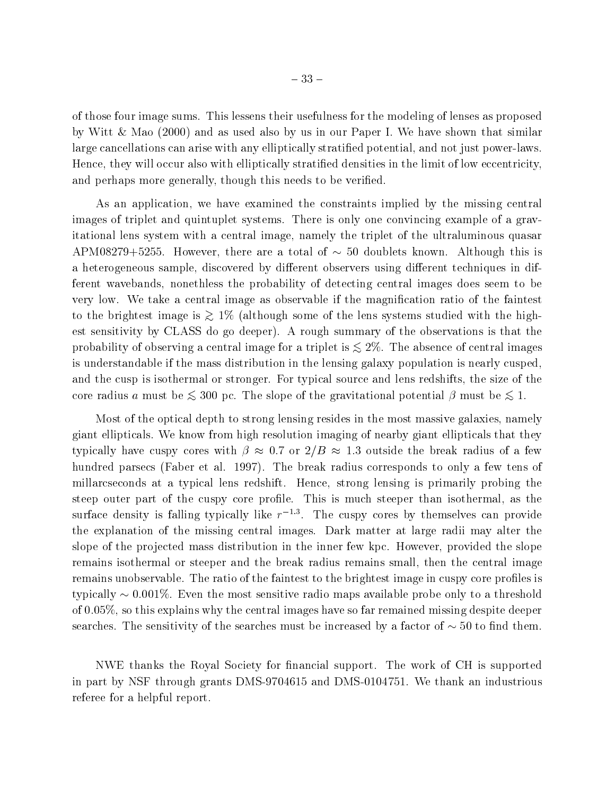of those four image sums. This lessens their usefulness for the modeling of lenses as proposed by Witt & Mao (2000) and as used also by us in our Paper I. We have shown that similar large cancellations can arise with any elliptically stratied potential, and not just power-laws. Hence, they will occur also with elliptically stratied densities in the limit of low eccentricity, and perhaps more generally, though this needs to be verified.

As an application, we have examined the constraints implied by the missing central images of triplet and quintuplet systems. There is only one convincing example of a gravitational lens system with a central image, namely the triplet of the ultraluminous quasar APM08279+5255. However, there are a total of  $\sim$  50 doublets known. Although this is a heterogeneous sample, discovered by different observers using different techniques in different wavebands, nonethless the probability of detecting central images does seem to be very low. We take a central image as observable if the magnification ratio of the faintest to the brightest image is  $\gtrsim 1\%$  (although some of the lens systems studied with the highest sensitivity by CLASS do go deeper). A rough summary of the observations is that the probability of observing a central image for a triplet is  $\lesssim 2\%$ . The absence of central images is understandable if the mass distribution in the lensing galaxy population is nearly cusped, and the cusp is isothermal or stronger. For typical source and lens redshifts, the size of the core radius a must be  $\leq 300$  pc. The slope of the gravitational potential  $\beta$  must be  $\leq 1$ .

Most of the optical depth to strong lensing resides in the most massive galaxies, namely giant ellipticals. We know from high resolution imaging of nearby giant ellipticals that they typically have cuspy cores with  $\beta \approx 0.7$  or  $2/B \approx 1.3$  outside the break radius of a few hundred parsecs (Faber et al. 1997). The break radius corresponds to only a few tens of millarcseconds at a typical lens redshift. Hence, strong lensing is primarily probing the steep outer part of the cuspy core profile. This is much steeper than isothermal, as the surface density is falling typically like  $r^{-1.3}$ . The cuspy cores by themselves can provide the explanation of the missing central images. Dark matter at large radii may alter the slope of the projected mass distribution in the inner few kpc. However, provided the slope remains isothermal or steeper and the break radius remains small, then the central image remains unobservable. The ratio of the faintest to the brightest image in cuspy core profiles is typically  $\sim 0.001\%$ . Even the most sensitive radio maps available probe only to a threshold of 0:05%, so this explains why the central images have so far remained missing despite deeper searches. The sensitivity of the searches must be increased by a factor of  $\sim$  50 to find them.

NWE thanks the Royal Society for nancial support. The work of CH is supported in part by NSF through grants DMS-9704615 and DMS-0104751. We thank an industrious referee for a helpful report.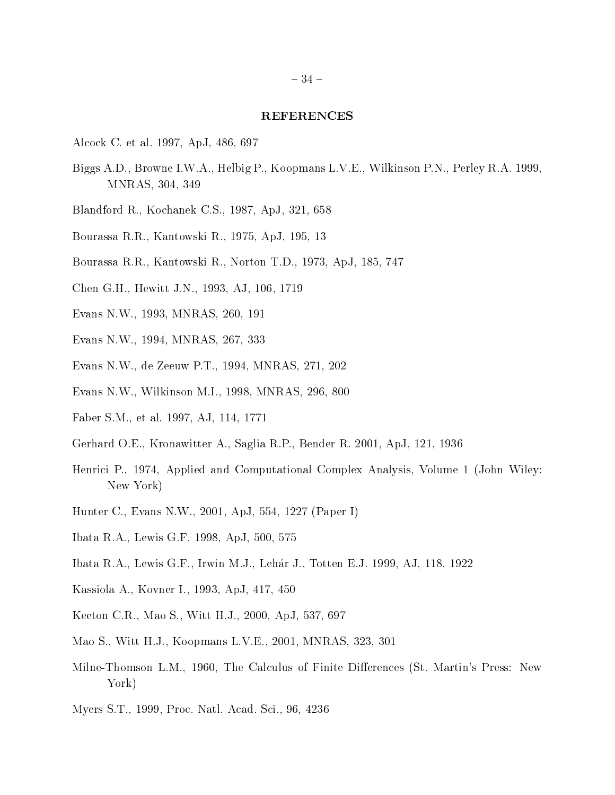#### REFERENCES

- Alcock C. et al. 1997, ApJ, 486, 697
- Biggs A.D., Browne I.W.A., Helbig P., Koopmans L.V.E., Wilkinson P.N., Perley R.A. 1999, MNRAS, 304, 349
- Blandford R., Kochanek C.S., 1987, ApJ, 321, 658
- Bourassa R.R., Kantowski R., 1975, ApJ, 195, 13
- Bourassa R.R., Kantowski R., Norton T.D., 1973, ApJ, 185, 747
- Chen G.H., Hewitt J.N., 1993, AJ, 106, 1719
- Evans N.W., 1993, MNRAS, 260, 191
- Evans N.W., 1994, MNRAS, 267, 333
- Evans N.W., de Zeeuw P.T., 1994, MNRAS, 271, 202
- Evans N.W., Wilkinson M.I., 1998, MNRAS, 296, 800
- Faber S.M., et al. 1997, AJ, 114, 1771
- Gerhard O.E., Kronawitter A., Saglia R.P., Bender R. 2001, ApJ, 121, 1936
- Henrici P., 1974, Applied and Computational Complex Analysis, Volume 1 (John Wiley: New York)
- Hunter C., Evans N.W., 2001, ApJ, 554, 1227 (Paper I)
- Ibata R.A., Lewis G.F. 1998, ApJ, 500, 575
- Ibata R.A., Lewis G.F., Irwin M.J., Lehar J., Totten E.J.1999, AJ, 118, 1922
- Kassiola A., Kovner I., 1993, ApJ, 417, 450
- Keeton C.R., Mao S., Witt H.J., 2000, ApJ, 537, 697
- Mao S., Witt H.J., Koopmans L.V.E., 2001, MNRAS, 323, 301
- Milne-Thomson L.M., 1960, The Calculus of Finite Differences (St. Martin's Press: New York)
- Myers S.T., 1999, Proc. Natl. Acad. Sci., 96, 4236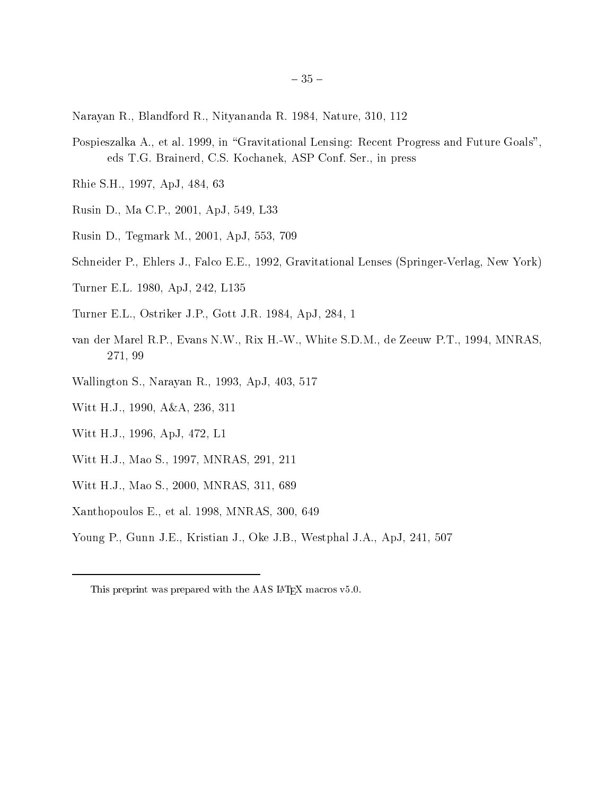- Narayan R., Blandford R., Nityananda R. 1984, Nature, 310, 112
- Pospieszalka A., et al. 1999, in "Gravitational Lensing: Recent Progress and Future Goals", eds T.G. Brainerd, C.S. Kochanek, ASP Conf. Ser., in press
- Rhie S.H., 1997, ApJ, 484, 63
- Rusin D., Ma C.P., 2001, ApJ, 549, L33
- Rusin D., Tegmark M.,2001, ApJ, 553, 709
- Schneider P., Ehlers J., Falco E.E., 1992, Gravitational Lenses (Springer-Verlag, New York)
- Turner E.L. 1980, ApJ, 242, L135
- Turner E.L., Ostriker J.P., Gott J.R. 1984, ApJ, 284, 1
- van der Marel R.P., Evans N.W., Rix H.-W., White S.D.M., de Zeeuw P.T., 1994, MNRAS, 271, 99
- Wallington S., Narayan R., 1993, ApJ, 403, 517
- Witt H.J., 1990, A&A, 236, 311
- Witt H.J., 1996, ApJ, 472, L1
- Witt H.J., Mao S., 1997, MNRAS, 291, 211
- Witt H.J., Mao S., 2000, MNRAS, 311, 689
- Xanthopoulos E., et al. 1998, MNRAS, 300, 649
- Young P., Gunn J.E., Kristian J., Oke J.B., Westphal J.A., ApJ, 241, 507

This preprint was prepared with the AAS LATEX macros v5.0.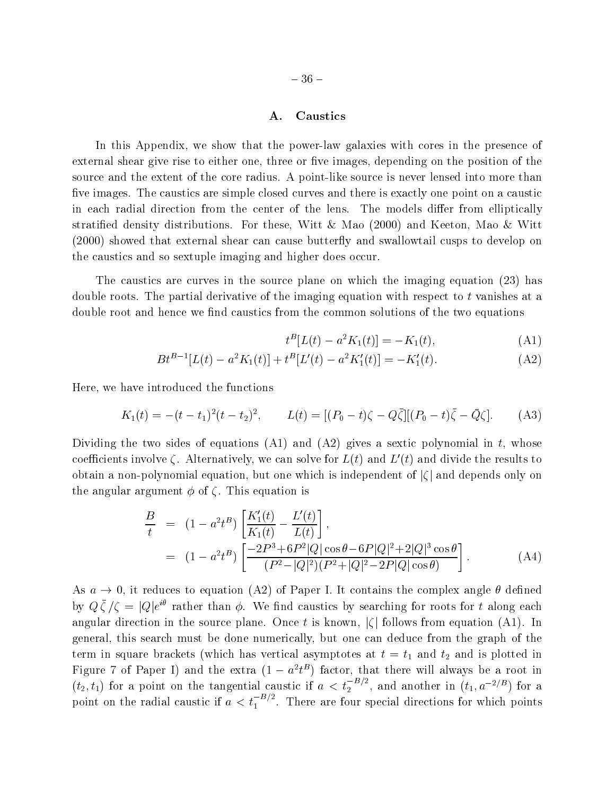## A. Caustics

In this Appendix, we show that the power-law galaxies with cores in the presence of external shear give rise to either one, three or five images, depending on the position of the source and the extent of the core radius. A point-like source is never lensed into more than five images. The caustics are simple closed curves and there is exactly one point on a caustic in each radial direction from the center of the lens. The models differ from elliptically stratified density distributions. For these, Witt & Mao  $(2000)$  and Keeton, Mao & Witt (2000) showed that external shear can cause butterfly and swallowtail cusps to develop on the caustics and so sextuple imaging and higher does occur.

The caustics are curves in the source plane on which the imaging equation (23) has double roots. The partial derivative of the imaging equation with respect to t vanishes at a double root and hence we find caustics from the common solutions of the two equations

$$
t^B[L(t) - a^2 K_1(t)] = -K_1(t),
$$
\n(A1)

$$
Bt^{B-1}[L(t) - a^2K_1(t)] + t^B[L'(t) - a^2K'_1(t)] = -K'_1(t).
$$
 (A2)

Here, we have introduced the functions

$$
K_1(t) = -(t - t_1)^2 (t - t_2)^2, \qquad L(t) = [(P_0 - t)\zeta - Q\bar{\zeta}][(P_0 - t)\bar{\zeta} - \bar{Q}\zeta]. \tag{A3}
$$

Dividing the two sides of equations  $(A1)$  and  $(A2)$  gives a sextic polynomial in t, whose coefficients involve  $\zeta$ . Alternatively, we can solve for  $L(t)$  and  $L'(t)$  and divide the results to obtain a non-polynomial equation, but one which is independent of  $|\zeta|$  and depends only on the angular argument  $\phi$  of  $\zeta$ . This equation is

$$
\frac{B}{t} = (1 - a^2 t^B) \left[ \frac{K_1'(t)}{K_1(t)} - \frac{L'(t)}{L(t)} \right],
$$
  
\n
$$
= (1 - a^2 t^B) \left[ \frac{-2P^3 + 6P^2 |Q| \cos \theta - 6P |Q|^2 + 2|Q|^3 \cos \theta}{(P^2 - |Q|^2)(P^2 + |Q|^2 - 2P |Q| \cos \theta)} \right].
$$
 (A4)

As  $a \to 0$ , it reduces to equation (A2) of Paper I. It contains the complex angle  $\theta$  defined by  $Q \zeta / \zeta \equiv Q / e^{\gamma}$  rather than  $\phi$ . We find caustics by searching for roots for t along each angular direction in the source plane. Once t is known,  $|\zeta|$  follows from equation (A1). In general, this search must be done numerically, but one can deduce from the graph of the term in square brackets (which has vertical asymptotes at the time in the time is plotted in plotted in the tim Figure 7 of Paper 1) and the extra  $(1 - a^2 t^2)$  factor, that there will always be a root in  $(t_2,t_1)$  for a point on the tangential caustic if  $a < t_2^{-B/2}$ , and another in  $(t_1,a^{-2/B})$  for a point on the radial caustic if  $a < t_1^{-B/2}$ . There are four special directions for which points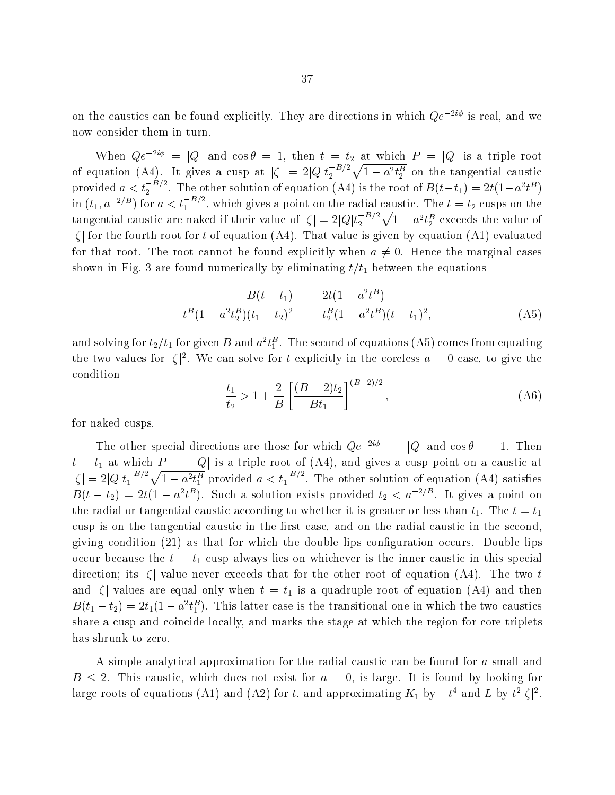on the caustics can be found explicitly. They are directions in which  $Qe^{-2i\phi}$  is real, and we now consider them in turn.

When  $Qe^{-2i\psi} = |Q|$  and  $\cos \theta = 1$ , then  $t = t_2$  at which  $P = |Q|$  is a triple root<br>of equation (A4). It gives a cusp at  $|\zeta| = 2|Q|t_2^{-B/2}\sqrt{1-a^2t_2^B}$  on the tangential caustic<br>provided  $a < t_2^{-B/2}$ . The other solution o  $|\zeta|$  for the fourth root for t of equation (A4). That value is given by equation (A1) evaluated for that root. The root cannot be found explicitly when  $a \neq 0$ . Hence the marginal cases shown in Fig. 3 are found numerically by eliminating the equations of the equations of the equations of the equations of the equations of the equations of the equations of the equations of the equations of the equations o

$$
B(t - t_1) = 2t(1 - a^2t^B)
$$
  
\n
$$
t^B(1 - a^2t_2^B)(t_1 - t_2)^2 = t_2^B(1 - a^2t^B)(t - t_1)^2,
$$
\n(A5)

and solving for  $t_2/t_1$  for given  $B$  and  $a^2t_1^2$  . The second of equations (A5) comes from equating the two values for  $\vert \zeta \vert^2$ . We can solve for t explicitly in the coreless  $a = 0$  case, to give the condition

$$
\frac{t_1}{t_2} > 1 + \frac{2}{B} \left[ \frac{(B-2)t_2}{Bt_1} \right]^{(B-2)/2}, \tag{A6}
$$

for naked cusps.

The other special directions are those for which  $Qe^{-2i\phi} = -|Q|$  and  $\cos \theta = -1$ . Then t = t1 at which <sup>P</sup> <sup>=</sup> jQj is <sup>a</sup> triple root of (A4), and gives <sup>a</sup> cusp point on <sup>a</sup> caustic at  $|\zeta| = 2|Q|t_1^{-B/2}\sqrt{1-a^2t_1^B}$  provided  $a < t_1^{-B/2}$ . The other solution of equation (A4) satisfies  $B(t-t_2) = 2t(1-a^2t^2)$ . Such a solution exists provided  $t_2 < a^{-2/3}$ . It gives a point on the radial or tangential caustic according to whether it is greater or less than  $t_1$ . The  $t = t_1$ cusp is on the tangential caustic in the first case, and on the radial caustic in the second. giving condition (21) as that for which the double lips conguration occurs. Double lips occur because the time the time the inner causal is the inner causal inner causal inner causal inner causal in direction; its  $|\zeta|$  value never exceeds that for the other root of equation (A4). The two t and j j values are equal only when <sup>t</sup> <sup>=</sup> t1 is <sup>a</sup> quadruple root of equation (A4) and then  $B(t_1-t_2)=2t_1(1-a^2t_1^2)$ . This latter case is the transitional one in which the two caustics share a cusp and coincide locally, and marks the stage at which the region for core triplets has shrunk to zero.

A simple analytical approximation for the radial caustic can be found for a small and  $B \le 2$ . This caustic, which does not exist for  $a = 0$ , is large. It is found by looking for large roots of equations (A1) and (A2) for t, and approximating  $K_1$  by  $-t^*$  and L by  $t^*$  | $\zeta$ | $\zeta$  .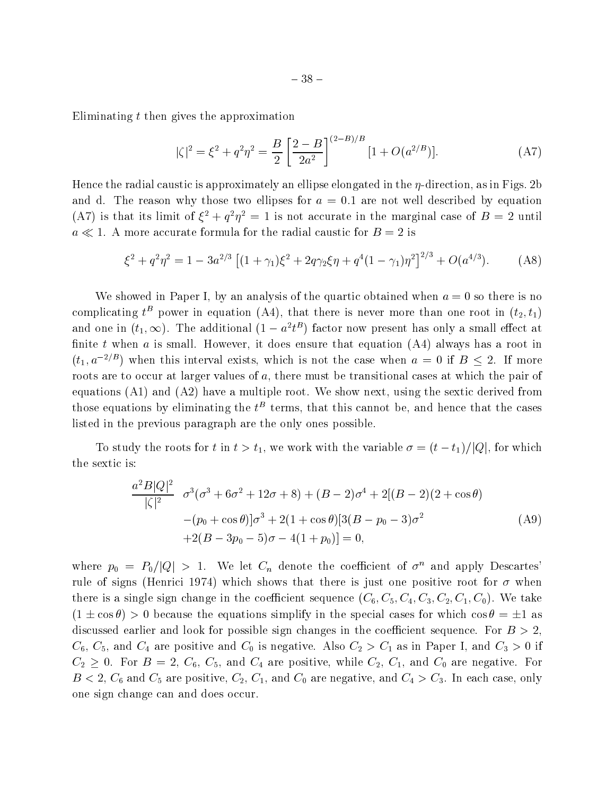Eliminating  $t$  then gives the approximation

$$
|\zeta|^2 = \xi^2 + q^2 \eta^2 = \frac{B}{2} \left[ \frac{2 - B}{2a^2} \right]^{(2 - B)/B} [1 + O(a^{2/B})]. \tag{A7}
$$

Hence the radial caustic is approximately an ellipse elongated in the  $\eta$ -direction, as in Figs. 2b and d. The reason why those two ellipses for  $a = 0.1$  are not well described by equation (A) is that its limit of  $\xi^* + q^* \eta^* = 1$  is not accurate in the marginal case of  $B = 2$  until  $a \ll 1$ . A more accurate formula for the radial caustic for  $B = 2$  is

$$
\xi^2 + q^2 \eta^2 = 1 - 3a^{2/3} \left[ (1 + \gamma_1)\xi^2 + 2q\gamma_2\xi\eta + q^4(1 - \gamma_1)\eta^2 \right]^{2/3} + O(a^{4/3}). \tag{A8}
$$

We showed in Paper I, by an analysis of the quartic obtained when  $a = 0$  so there is no complicating  $t^B$  power in equation (A4), that there is never more than one root in  $(t_2, t_1)$ and one in  $(t_1,\infty)$ . The additional (1  $-a^{\tau}t^{\tau}$  ) factor now present has only a small effect at finite t when a is small. However, it does ensure that equation  $(A4)$  always has a root in  $(t_1, a^{-2/B})$  when this interval exists, which is not the case when  $a = 0$  if  $B \le 2$ . If more roots are to occur at larger values of  $a$ , there must be transitional cases at which the pair of equations (A1) and (A2) have a multiple root. We show next, using the sextic derived from those equations by eliminating the  $t^\pm$  terms, that this cannot be, and hence that the cases listed in the previous paragraph are the only ones possible.

To study the roots for t in  $t>t_1$ , we work with the variable  $\sigma = (t-t_1)/|Q|$ , for which the sextic is:

$$
\frac{a^2B|Q|^2}{|\zeta|^2} \quad \sigma^3(\sigma^3 + 6\sigma^2 + 12\sigma + 8) + (B - 2)\sigma^4 + 2[(B - 2)(2 + \cos\theta) - (p_0 + \cos\theta)]\sigma^3 + 2(1 + \cos\theta)[3(B - p_0 - 3)\sigma^2 + 2(B - 3p_0 - 5)\sigma - 4(1 + p_0)] = 0,
$$
\n(A9)

where  $p_0 = P_0/|Q| > 1$ . We let  $C_n$  denote the coefficient of  $\sigma^n$  and apply Descartes' rule of signs (Henrici 1974) which shows that there is just one positive root for  $\sigma$  when there is a single sign change in the coefficient sequence  $(C_6, C_5, C_4, C_3, C_2, C_1, C_0)$ . We take  $(1 \pm \cos \theta) > 0$  because the equations simplify in the special cases for which  $\cos \theta = \pm 1$  as discussed earlier and look for possible sign changes in the coefficient sequence. For  $B > 2$ , C6, C5, and C4 are positive and C0 is negative. Also C2 <sup>&</sup>gt; C1 as in Paper I, and C3 <sup>&</sup>gt; <sup>0</sup> if C2 0. For <sup>B</sup> <sup>=</sup> 2, C6, C5, and C4 are positive, while C2, C1, and C0 are negative. For  $B$  and  $C$  and  $C$  are positive,  $C$  and  $C$  are negative, and  $C$  are negative, and  $C$  are negative, only and  $C$ one sign change can and does occur.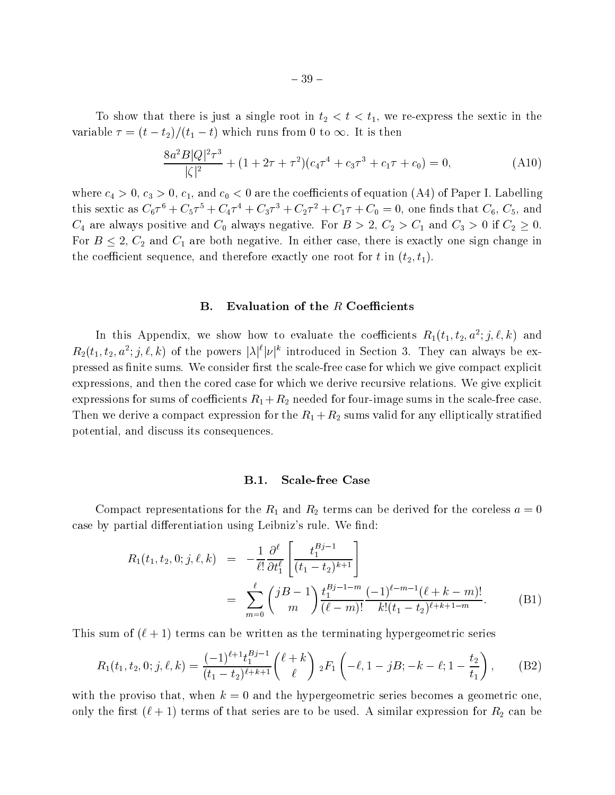To show that there is just a single root in the sextingle root in the sextingle in the sexting  $\mu$  $\alpha$  is the contract of the tag  $\alpha$  th runs from  $\alpha$  to  $\alpha$  is the  $\alpha$  to  $\alpha$  is the  $\alpha$  is the  $\alpha$ 

$$
\frac{8a^2B|Q|^2\tau^3}{|\zeta|^2} + (1+2\tau+\tau^2)(c_4\tau^4+c_3\tau^3+c_1\tau+c_0) = 0,
$$
 (A10)

where c4  $\sim$  0, c3  $\sim$  0, c3  $\sim$  0, c3  $\sim$  0, c3  $\sim$  0, c3  $\sim$  0, c3  $\sim$  0, c3  $\sim$  0, c3  $\sim$  0, c3  $\sim$  0, c3  $\sim$  0, c3  $\sim$  0, c3  $\sim$  0, c3  $\sim$  0, c3  $\sim$  0, c3  $\sim$  0, c3  $\sim$  0, c3  $\sim$  0, c3  $\sim$  0, c3  $\sim$ this sextic as  $C_6T^+ + C_5T^+ + C_4T^+ + C_3T^+ + C_2T^+ + C_1T + C_0 = 0$ , one finds that  $C_6$ ,  $C_5$ , and C4 are always positive and C0 always negative. For <sup>B</sup> <sup>&</sup>gt; 2, C2 > C1 and C3 <sup>&</sup>gt; <sup>0</sup> if C2 0.  $-$  1. C2 and C1 are both negative. In either case, there is exactly one sign change in either case, there is exactly one sign change in either case, the case in either case, the case in either case in either case in eith the coefficient sequence, and therefore exactly one root for t in  $(t_2, t_1)$ .

## B. Evaluation of the  $R$  Coefficients

In this Appendix, we show how to evaluate the coefficients  $R_1(t_1,t_2,a^-;j,\ell,\kappa)$  and  $R_2(t_1, t_2, a^{-}; j, \ell, \kappa)$  of the powers  $|\lambda|$   $|\nu|$  introduced in Section 3. They can always be expressed as finite sums. We consider first the scale-free case for which we give compact explicit expressions, and then the cored case for which we derive recursive relations. We give explicit expressions for sums of coecients R1 +R2 needed for four-image sums in the scale-free case. The state we derive a compact expression for the R2  $\mu$  R2 sums values for any element  $\mu$  stratifically stratified potential, and discuss its consequences.

#### B.1. Scale-free Case

Compact representations for the R1 and R2 terms can be derived for the coreless <sup>a</sup> = 0 case by partial differentiation using Leibniz's rule. We find:

$$
R_1(t_1, t_2, 0; j, \ell, k) = -\frac{1}{\ell!} \frac{\partial^{\ell}}{\partial t_1^{\ell}} \left[ \frac{t_1^{Bj-1}}{(t_1 - t_2)^{k+1}} \right]
$$
  

$$
= \sum_{m=0}^{\ell} {jB-1 \choose m} \frac{t_1^{Bj-1-m}}{(\ell-m)!} \frac{(-1)^{\ell-m-1} (\ell+k-m)!}{k!(t_1 - t_2)^{\ell+k+1-m}}.
$$
 (B1)

This sum of  $(\ell + 1)$  terms can be written as the terminating hypergeometric series

$$
R_1(t_1, t_2, 0; j, \ell, k) = \frac{(-1)^{\ell+1} t_1^{Bj-1}}{(t_1 - t_2)^{\ell+k+1}} {\ell + k \choose \ell} {}_2F_1 \left(-\ell, 1 - jB; -k - \ell; 1 - \frac{t_2}{t_1}\right), \quad (B2)
$$

with the proviso that, when  $k = 0$  and the hypergeometric series becomes a geometric one, only the contract (  $\Gamma$  ) terms of that series are to be used. A similar expression for  $\Gamma$  can be used. A similar expression for R2 can be used. A similar expression for R2 can be used. A similar expression for R2 can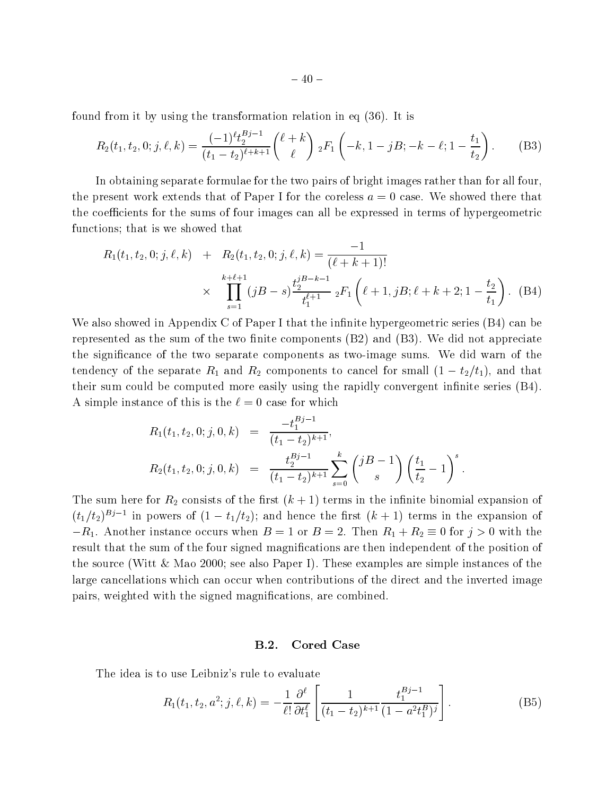found from it by using the transformation relation in eq (36). It is

$$
R_2(t_1, t_2, 0; j, \ell, k) = \frac{(-1)^{\ell} t_2^{Bj-1}}{(t_1 - t_2)^{\ell + k + 1}} {\ell + k \choose \ell} {}_2F_1 \left( -k, 1 - jB; -k - \ell; 1 - \frac{t_1}{t_2} \right). \tag{B3}
$$

In obtaining separate formulae for the two pairs of bright images rather than for all four, the present work extends that of Paper I for the coreless  $a = 0$  case. We showed there that the coefficients for the sums of four images can all be expressed in terms of hypergeometric functions; that is we showed that

$$
R_1(t_1, t_2, 0; j, \ell, k) + R_2(t_1, t_2, 0; j, \ell, k) = \frac{-1}{(\ell + k + 1)!}
$$
  
\$\times \prod\_{s=1}^{k+\ell+1} (jB - s) \frac{t\_2^{jB-k-1}}{t\_1^{\ell+1}} \, \_2F\_1\left(\ell + 1, jB; \ell + k + 2; 1 - \frac{t\_2}{t\_1}\right). (B4)\$

We also showed in Appendix C of Paper I that the infinite hypergeometric series  $(B4)$  can be represented as the sum of the two finite components  $(B2)$  and  $(B3)$ . We did not appreciate the signicance of the two separate components as two-image sums. We did warn of the tendency of the separate R1 and R2 components to cancel for small (1  $\pm$  1), and that the that their sum could be computed more easily using the rapidly convergent infinite series  $(B4)$ . A simple instance of this is the  $\ell = 0$  case for which

$$
R_1(t_1, t_2, 0; j, 0, k) = \frac{-t_1^{Bj-1}}{(t_1 - t_2)^{k+1}},
$$
  
\n
$$
R_2(t_1, t_2, 0; j, 0, k) = \frac{t_2^{Bj-1}}{(t_1 - t_2)^{k+1}} \sum_{s=0}^k {jB - 1 \choose s} \left(\frac{t_1}{t_2} - 1\right)^s.
$$

The sum here for R2 consists of the internal expansion of the internal expansion of the internal expansion of the internal expansion of the internal expansion of the internal expansion of the internal expansion of the int  $(t_1/t_2)^{D_J-1}$  in powers of  $(1-t_1/t_2)$ ; and hence the first  $(k+1)$  terms in the expansion of R1. Another instance occurs when B = 1 or B = 2. Then R1 <sup>+</sup> R2 0 for <sup>j</sup> <sup>&</sup>gt; 0 with the result that the sum of the four signed magnifications are then independent of the position of the source (Witt & Mao 2000; see also Paper I). These examples are simple instances of the large cancellations which can occur when contributions of the direct and the inverted image pairs, weighted with the signed magnications, are combined.

## B.2. Cored Case

The idea is to use Leibniz's rule to evaluate

$$
R_1(t_1, t_2, a^2; j, \ell, k) = -\frac{1}{\ell!} \frac{\partial^{\ell}}{\partial t_1^{\ell}} \left[ \frac{1}{(t_1 - t_2)^{k+1}} \frac{t_1^{Bj-1}}{(1 - a^2 t_1^B)^j} \right].
$$
 (B5)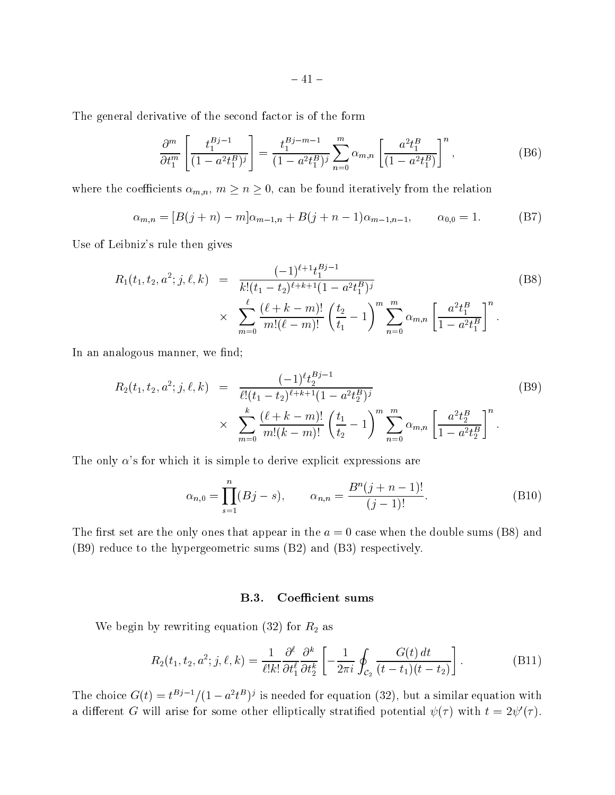The general derivative of the second factor is of the form

$$
\frac{\partial^m}{\partial t_1^m} \left[ \frac{t_1^{Bj-1}}{(1 - a^2 t_1^B)^j} \right] = \frac{t_1^{Bj-m-1}}{(1 - a^2 t_1^B)^j} \sum_{n=0}^m \alpha_{m,n} \left[ \frac{a^2 t_1^B}{(1 - a^2 t_1^B)} \right]^n, \tag{B6}
$$

where the coefficients  $\alpha_{m,n}$ ,  $m \ge n \ge 0$ , can be found iteratively from the relation

$$
\alpha_{m,n} = [B(j+n) - m]\alpha_{m-1,n} + B(j+n-1)\alpha_{m-1,n-1}, \qquad \alpha_{0,0} = 1.
$$
 (B7)

Use of Leibniz's rule then gives

$$
R_1(t_1, t_2, a^2; j, \ell, k) = \frac{(-1)^{\ell+1} t_1^{Bj-1}}{k! (t_1 - t_2)^{\ell+k+1} (1 - a^2 t_1^B)^j}
$$
(B8)  

$$
\times \sum_{m=0}^{\ell} \frac{(\ell+k-m)!}{m! (\ell-m)!} \left(\frac{t_2}{t_1} - 1\right)^m \sum_{n=0}^m \alpha_{m,n} \left[\frac{a^2 t_1^B}{1 - a^2 t_1^B}\right]^n.
$$

In an analogous manner, we find;

$$
R_2(t_1, t_2, a^2; j, \ell, k) = \frac{(-1)^{\ell} t_2^{Bj-1}}{\ell! (t_1 - t_2)^{\ell + k + 1} (1 - a^2 t_2^B)^j} \times \sum_{m=0}^k \frac{(\ell + k - m)!}{m! (k - m)!} \left(\frac{t_1}{t_2} - 1\right)^m \sum_{n=0}^m \alpha_{m,n} \left[\frac{a^2 t_2^B}{1 - a^2 t_2^B}\right]^n.
$$
\n(B9)

The only  $\alpha$ 's for which it is simple to derive explicit expressions are

$$
\alpha_{n,0} = \prod_{s=1}^{n} (Bj - s), \qquad \alpha_{n,n} = \frac{B^n(j+n-1)!}{(j-1)!}.
$$
 (B10)

The first set are the only ones that appear in the  $a = 0$  case when the double sums (B8) and (B9) reduce to the hypergeometric sums (B2) and (B3) respectively.

## B.3. Coefficient sums

where  $\alpha$  is rewriting equation (32) for  $\alpha$  as a rewriting equation (32) for  $\alpha$  as as  $\alpha$ 

$$
R_2(t_1, t_2, a^2; j, \ell, k) = \frac{1}{\ell! k!} \frac{\partial^{\ell}}{\partial t_1^{\ell}} \frac{\partial^k}{\partial t_2^k} \left[ -\frac{1}{2\pi i} \oint_{\mathcal{C}_2} \frac{G(t) dt}{(t - t_1)(t - t_2)} \right].
$$
 (B11)

The choice  $G(t) = t^{D-1}/(1 - a^2 t^D)$  is needed for equation (32), but a similar equation with a different G will arise for some other elliptically stratified potential  $\psi(\tau)$  with  $t = 2\psi'(\tau)$ .